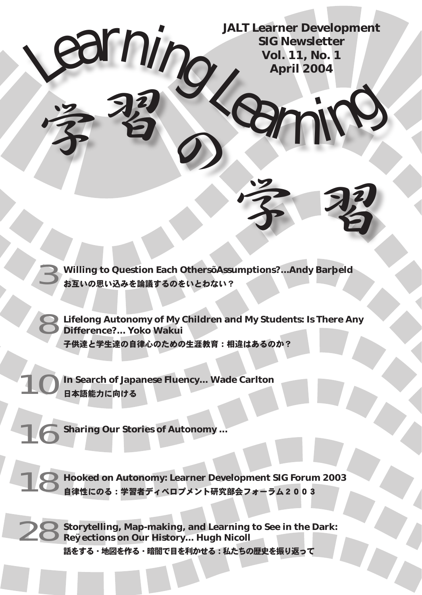Learning Signewsletter **JALT Learner Development SIG Newsletter Vol. 11, No. 1 April 2004**

学 習

3 **Willing to Question Each Others' Assumptions?...Andy Barfield** お互いの思い込みを論議するのをいとわない?

8**Lifelong Autonomy of My Children and My Students: Is There Any Difference?... Yoko Wakui** 子供達と学生達の自律心のための生涯教育:相違はあるのか?

**In Search of Japanese Fluency... Wade Carlton** 日本語能力に向ける

**Sharing Our Stories of Autonomy ...** 

字習り

18 **Hooked on Autonomy: Learner Development SIG Forum 2003** 自律性にのる:学習者ディベロプメント研究部会フォーラム2003

Storytelling, Map-making, and Learning to See in the Dark: **Reflections on Our History... Hugh Nicoll** 話をする・地図を作る・暗闇で目を利かせる:私たちの歴史を振り返って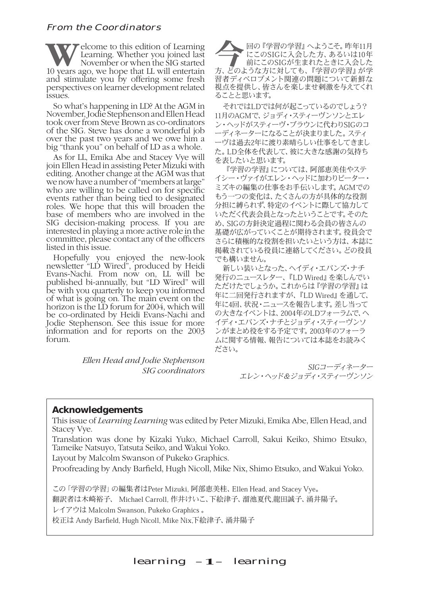## From the Coordinators

**WE** Learning. Whether you joined last November or when the SIG started 10 years ago, we hope that LL will entertain Learning. Whether you joined last November or when the SIG started and stimulate you by offering some fresh perspectives on learner development related issues.

So what's happening in LD? At the AGM in November, Jodie Stephenson and Ellen Head took over from Steve Brown as co-ordinators of the SIG. Steve has done a wonderful job over the past two years and we owe him a big "thank you" on behalf of LD as a whole.

As for LL, Emika Abe and Stacey Vye will join Ellen Head in assisting Peter Mizuki with editing. Another change at the AGM was that we now have a number of "members at large" who are willing to be called on for specific events rather than being tied to designated roles. We hope that this will broaden the base of members who are involved in the SIG decision-making process. If you are interested in playing a more active role in the committee, please contact any of the officers listed in this issue.

Hopefully you enjoyed the new-look newsletter "LD Wired", produced by Heidi Evans-Nachi. From now on, LL will be published bi-annually, but "LD Wired" will be with you quarterly to keep you informed of what is going on. The main event on the horizon is the LD forum for 2004, which will be co-ordinated by Heidi Evans-Nachi and Jodie Stephenson. See this issue for more information and for reports on the 2003 forum.

> *Ellen Head and Jodie Stephenson SIG coordinators*

回の『学習の学習』へようこそ。昨年11月<br>にこのSIGに入会した方、あるいは10年<br>前にこのSIGが生まれたときに入会した<br>カードうかちに対しても、『学習の学習』が学 にこのSIGに入会した方、あるいは10年 前にこのSIGが生まれたときに入会した 方、どのような方に対しても、『学習の学習』が学 習者ディベロプメント関連の問題について新鮮な 視点を提供し、皆さんを楽しませ刺激を与えてくれ ることと思います。

それではLDでは何が起こっているのでしょう? 11月のAGMで、ジョディ・スティーヴンソンとエレ ン・ヘッドがスティーヴ・ブラウンに代わりSIGのコ ーディネーターになることが決まりました。スティ ーヴは過去2年に渡り素晴らしい仕事をしてきまし た。LD全体を代表して、彼に大きな感謝の気持ち を表したいと思います。

『学習の学習』については、阿部恵美佳やステ イシー・ヴァイがエレン・ヘッドに加わりピーター・ ミズキの編集の仕事をお手伝いします。AGMでの もう一つの変化は、たくさんの方が具体的な役割 分担に縛られず、特定のイベントに際して協力して いただく代表会員となったということです。そのた め、SIGの方針決定過程に関わる会員の皆さんの 基礎が広がっていくことが期待されます。役員会で さらに積極的な役割を担いたいという方は、本誌に 掲載されている役員に連絡してください。どの役員 でも構いません。

新しい装いとなった、ヘイディ・エバンズ・ナチ 発行のニュースレター、『LD Wired』を楽しんでい ただけたでしょうか。これからは『学習の学習』は 年に二回発行されますが、『LD Wired』を通して、 年に4回、状況・ニュースを報告します。差し当って の大きなイベントは、2004年のLDフォーラムで、ヘ イディ・エバンズ・ナチとジョディ・スティーヴンソ ンがまとめ役をする予定です。2003年のフォーラ ムに関する情報、報告については本誌をお読みく ださい。

> SIGコーディネーター エレン・ヘッド&ジョディ・スティーヴンソン

#### **Acknowledgements**

This issue of *Learning Learning* was edited by Peter Mizuki, Emika Abe, Ellen Head, and Stacey Vye.

Translation was done by Kizaki Yuko, Michael Carroll, Sakui Keiko, Shimo Etsuko, Tameike Natsuyo, Tatsuta Seiko, and Wakui Yoko.

Layout by Malcolm Swanson of Pukeko Graphics.

Proofreading by Andy Barfield, Hugh Nicoll, Mike Nix, Shimo Etsuko, and Wakui Yoko.

この「学習の学習」の編集者はPeter Mizuki, 阿部恵美桂、Ellen Head, and Stacey Vye。

翻訳者は木崎裕子、 Michael Carroll, 作井けいこ、下絵津子、溜池夏代,龍田誠子、涌井陽子。

レイアウは Malcolm Swanson, Pukeko Graphics 。

校正は Andy Barfield, Hugh Nicoll, Mike Nix,下絵津子、涌井陽子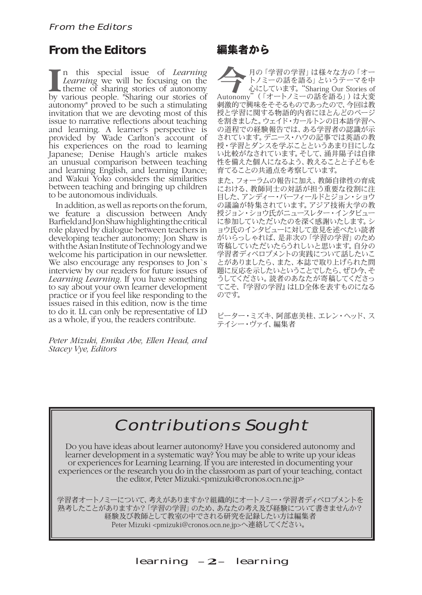# **From the Editors**

**I** by various people. "Sharing our stories of n this special issue of *Learning Learning* we will be focusing on the theme of sharing stories of autonomy autonomy" proved to be such a stimulating invitation that we are devoting most of this issue to narrative reflections about teaching and learning. A learner's perspective is provided by Wade Carlton's account of his experiences on the road to learning Japanese; Denise Haugh's article makes an unusual comparison between teaching and learning English, and learning Dance; and Wakui Yoko considers the similarities between teaching and bringing up children to be autonomous individuals.

In addition, as well as reports on the forum, we feature a discussion between Andy Barfield and Jon Shaw highlighting the critical role played by dialogue between teachers in developing teacher autonomy; Jon Shaw is with the Asian Institute of Technology and we welcome his participation in our newsletter. We also encourage any responses to Jon`s interview by our readers for future issues of *Learning Learning*. If you have something to say about your own learner development practice or if you feel like responding to the issues raised in this edition, now is the time to do it. LL can only be representative of LD as a whole, if you, the readers contribute.

*Peter Mizuki, Emika Abe, Ellen Head, and Stacey Vye, Editors*

# 編集者から

今月の「学習の学習」は様々な方の「オー トノミーの話を語る」というテーマを中 心にしています。"Sharing Our Stories of Autonomy"(「オートノミーの話を語る」)は大変 刺激的で興味をそそるものであったので、今回は教 授と学習に関する物語的内省にほとんどのページ を割きました。ウェイド・カールトンの日本語学習へ の道程での経験報告では、ある学習者の認識が示 されています。デニース・ハウの記事では英語の教 授・学習とダンスを学ぶことというあまり目にしな い比較がなされています。そして、涌井陽子は自律 性を備えた個人になるよう、教えることと子どもを 育てることの共通点を考察しています。

また、フォーラムの報告に加え、教師自律性の育成 における、教師同士の対話が担う重要な役割に注 目した、アンディー・バーフィールドとジョン・ショウ の議論が特集されています。アジア技術大学の教 授ジョン・ショウ氏がニュースレター・インタビュー に参加していただいたのを深く感謝いたします。シ ョウ氏のインタビューに対して意見を述べたい読者 <u>こうなジョングレース。</u><br>この数のアプリニューになりて、第20学習」 のため 寄稿していただいたらうれしいと思います。自分の 学習者ディベロプメントの実践について話したいこ とがありましたら、また、本誌で取り上げられた問 題に反応を示したいということでしたら、ぜひ今、そ うしてください。読者のあなたが寄稿してくださっ てこそ、『学習の学習』はLD全体を表すものになる のです。

ピーター・ミズキ、阿部恵美桂、エレン・ヘッド、ス テイシー・ヴァイ、編集者

# Contributions Sought

Do you have ideas about learner autonomy? Have you considered autonomy and learner development in a systematic way? You may be able to write up your ideas or experiences for Learning Learning. If you are interested in documenting your experiences or the research you do in the classroom as part of your teaching, contact the editor, Peter Mizuki.<pmizuki@cronos.ocn.ne.jp>

学習者オートノミーについて、考えがありますか?組織的にオートノミー・学習者ディベロプメントを 熟考したことがありますか?「学習の学習」のため、あなたの考え及び経験について書きませんか? 経験及び教師として教室の中でされる研究を記録したい方は編集者 Peter Mizuki <pmizuki@cronos.ocn.ne.jp>へ連絡してください。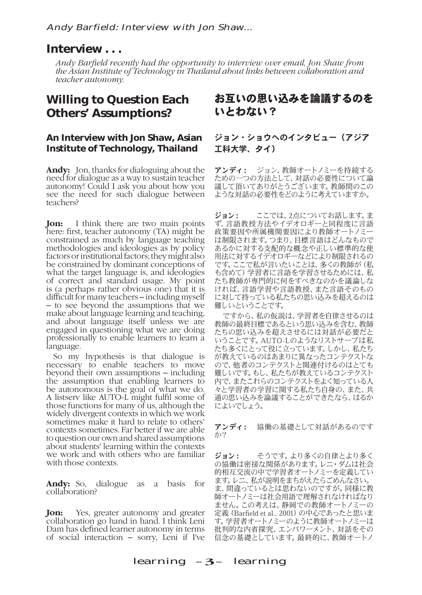# **Interview . . .**

*Andy Barfield recently had the opportunity to interview over email, Jon Shaw from the Asian Institute of Technology in Thailand about links between collaboration and teacher autonomy.* 

# **Willing to Question Each Others' Assumptions?**

## **An Interview with Jon Shaw, Asian Institute of Technology, Thailand**

**Andy:** Jon, thanks for dialoguing about the need for dialogue as a way to sustain teacher autonomy! Could I ask you about how you see the need for such dialogue between teachers?

**Jon:** I think there are two main points here: first, teacher autonomy (TA) might be constrained as much by language teaching methodologies and ideologies as by policy factors or institutional factors; they might also be constrained by dominant conceptions of what the target language is, and ideologies of correct and standard usage. My point is (a perhaps rather obvious one) that it is difficult for many teachers – including myself – to see beyond the assumptions that we make about language learning and teaching, and about language itself unless we are engaged in questioning what we are doing professionally to enable learners to learn a language.

So my hypothesis is that dialogue is necessary to enable teachers to move beyond their own assumptions – including the assumption that enabling learners to be autonomous is the goal of what we do. A listserv like AUTO-L might fulfil some of those functions for many of us, although the widely divergent contexts in which we work sometimes make it hard to relate to others' contexts sometimes. Far better if we are able to question our own and shared assumptions about students' learning within the contexts we work and with others who are familiar with those contexts.

Andy: So, dialogue as a basis for collaboration?

**Jon:** Yes, greater autonomy and greater collaboration go hand in hand. I think Leni Dam has defined learner autonomy in terms of social interaction – sorry, Leni if I've

# お互いの思い込みを論議するのを いとわない?

## ジョン・ショウへのインタビュー(アジア 工科大学、タイ)

アンディ: ジョン、教師オートノミーを持続する ための一つの方法として、対話の必要性について論 議して頂いてありがとうございます。教師間のこの ような対話の必要性をどのように考えていますか。

ジョン: ここでは、2点についてお話します。ま ず、言語教授方法やイデオロギーと同程度に言語 政策要因や所属機関要因により教師オートノミー は制限されます。つまり、目標言語はどんなもので あるかに対する支配的な概念や正しい標準的な使 用法に対するイデオロギーなどにより制限されるの です。ここで私が言いたいことは、多くの教師が(私 も含めて)学習者に言語を学習させるためには、私 たち教師が専門的に何をすべきなのかを議論しな ければ、言語学習や言語教授、また言語そのもの に対して持っている私たちの思い込みを超えるのは 難しいということです。

ですから、私の仮説は、学習者を自律させるのは 教師の最終目標であるという思い込みを含む、教師 たちの思い込みを超えさせるには対話が必要だと いうことです。AUTO-Lのようなリストサーブは私 たち多くにとって役に立っています。しかし、私たち が教えているのはあまりに異なったコンテクストな ので、他者のコンテクストと関連付けるのはとても 難しいです。もし、私たちが教えているコンテクスト 内で、またこれらのコンテクストをよく知っている人 々と学習者の学習に関する私たち自身の、また、共 通の思い込みを論議することができたなら、はるか によいでしょう。

アンディ: 協働の基礎として対話があるのです か?

ジョン: そうです。より多くの自律とより多く の協働は密接な関係があります。レニ・ダムは社会 的相互交流の中で学習者オートノミーを定義してい ます。レニ、私が説明をまちがえたらごめんなさい。 ま、間違っているとは思わないのですが。同様に教 師オートノミーは社会用語で理解されなければなり ません。この考えは、静岡での教師オートノミーの 定義(Barfield et al., 2001)の中心であったと思いま す。学習者オートノミーのように教師オートノミーは 批判的な内省探究、エンパワーメント、対話をその 信念の基礎としています。最終的に、教師オートノ

learning  $-3$ – learning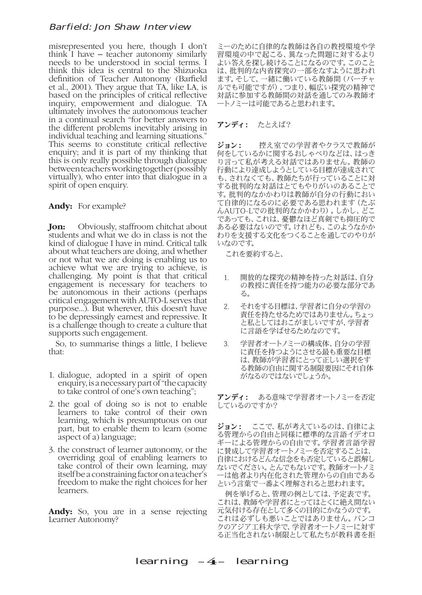misrepresented you here, though I don't think I have – teacher autonomy similarly needs to be understood in social terms. I think this idea is central to the Shizuoka definition of Teacher Autonomy (Barfield et al., 2001). They argue that TA, like LA, is based on the principles of critical reflective inquiry, empowerment and dialogue. TA ultimately involves the autonomous teacher in a continual search "for better answers to the different problems inevitably arising in individual teaching and learning situations." This seems to constitute critical reflective enquiry; and it is part of my thinking that this is only really possible through dialogue between teachers working together (possibly virtually), who enter into that dialogue in a spirit of open enquiry.

#### **Andy:** For example?

**Jon:** Obviously, staffroom chitchat about students and what we do in class is not the kind of dialogue I have in mind. Critical talk about what teachers are doing, and whether or not what we are doing is enabling us to achieve what we are trying to achieve, is challenging. My point is that that critical engagement is necessary for teachers to be autonomous in their actions (perhaps critical engagement with AUTO-L serves that purpose...). But wherever, this doesn't have to be depressingly earnest and repressive. It is a challenge though to create a culture that supports such engagement.

So, to summarise things a little, I believe that:

- 1. dialogue, adopted in a spirit of open enquiry, is a necessary part of "the capacity to take control of one's own teaching";
- 2. the goal of doing so is not to enable learners to take control of their own learning, which is presumptuous on our part, but to enable them to learn (some aspect of a) language;
- 3. the construct of learner autonomy, or the overriding goal of enabling learners to take control of their own learning, may itself be a constraining factor on a teacher's freedom to make the right choices for her learners.

**Andy:** So, you are in a sense rejecting Learner Autonomy?

ミーのために自律的な教師は各自の教授環境や学 習環境の中で起こる、異なった問題に対するより よい答えを探し続けることになるのです。このこと は、批判的な内省探究の一部をなすように思われ ます。そして、一緒に働いている教師間(バーチャ ルでも可能ですが)、つまり、幅広い探究の精神で 対話に参加する教師間の対話を通してのみ教師オ ートノミーは可能であると思われます。

#### アンディ: たとえば?

ジョン: 控え室での学習者やクラスで教師が 何をしているかに関するおしゃべりなどは、はっき り言って私が考える対話ではありません。教師の 行動により達成しようとしている目標が達成されて も、されなくても、教師たちが行っていることに対 する批判的な対話はとてもやりがいのあることで す。批判的なかかわりは教師が自分の行動におい て自律的になるのに必要である思われます(たぶ んAUTO-Lでの批判的なかかわり)。しかし、どこ であっても、これは、憂鬱なほど真剣でも抑圧的で ある必要はないのです。けれども、このようなかか わりを支援する文化をつくることを通してのやりが いなのです。

これを要約すると、

- 1. 開放的な探究の精神を持った対話は、自分 の教授に責任を持つ能力の必要な部分であ る。
- 2. それをする目標は、学習者に自分の学習の 責任を持たせるためではありません。ちょっ と私としてはおこがましいですが、学習者 に言語を学ばせるためなのです。
- 3. 学習者オートノミーの構成体、自分の学習 に責任を持つようにさせる最も重要な目標 は、教師が学習者にとって正しい選択をす る教師の自由に関する制限要因にそれ自体 がなるのではないでしょうか。

アンディ: ある意味で学習者オートノミーを否定 しているのですか?

ジョン: ここで、私が考えているのは、自律によ る管理からの自由と同様に標準的な言語イデオロ ギーによる管理からの自由です。学習者言語学習 に賛成して学習者オートノミーを否定することは、 自律におけるどんな信念をも否定していると誤解し ないでください。とんでもないです。教師オートノミ ーは他者より内在化された管理からの自由である という言葉で一番よく理解されると思われます。

例を挙げると、管理の例としては、予定表です。 これは、教師や学習者にとってはとくに絶え間ない 元気付ける存在として多くの目的にかなうのです。 これは必ずしも悪いことではありません。バンコ クのアジア工科大学で、学習者オートノミーに対す る正当化されない制限として私たちが教科書を拒

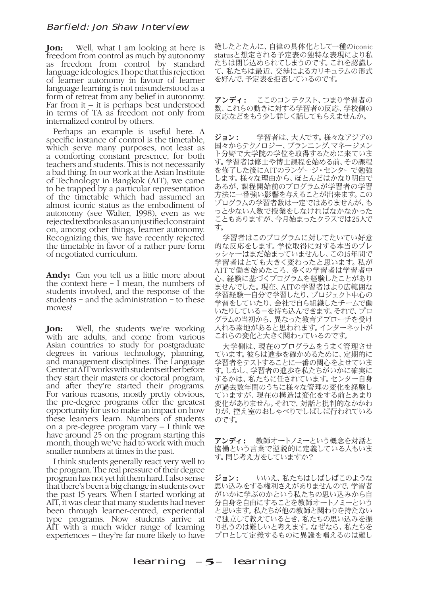**Jon:** Well, what I am looking at here is freedom from control as much by autonomy as freedom from control by standard language ideologies. I hope that this rejection of learner autonomy in favour of learner language learning is not misunderstood as a form of retreat from any belief in autonomy. Far from it  $-$  it is perhaps best understood in terms of TA as freedom not only from internalized control by others.

Perhaps an example is useful here. A specific instance of control is the timetable, which serve many purposes, not least as a comforting constant presence, for both teachers and students. This is not necessarily a bad thing. In our work at the Asian Institute of Technology in Bangkok (AIT), we came to be trapped by a particular representation of the timetable which had assumed an almost iconic status as the embodiment of autonomy (see Walter, 1998), even as we rejected textbooks as an unjustified constraint on, among other things, learner autonomy. Recognizing this, we have recently rejected the timetable in favor of a rather pure form of negotiated curriculum.

**Andy:** Can you tell us a little more about the context here – I mean, the numbers of students involved, and the response of the students – and the administration – to these moves?

**Jon:** Well, the students we're working with are adults, and come from various Asian countries to study for postgraduate degrees in various technology, planning, and management disciplines. The Language Center at AIT works with students either before they start their masters or doctoral program, and after they're started their programs. For various reasons, mostly pretty obvious, the pre-degree programs offer the greatest opportunity for us to make an impact on how these learners learn. Numbers of students on a pre-degree program vary – I think we have around 25 on the program starting this month, though we've had to work with much smaller numbers at times in the past.

I think students generally react very well to the program. The real pressure of their degree program has not yet hit them hard. I also sense that there's been a big change in students over the past 15 years. When I started working at AIT, it was clear that many students had never been through learner-centred, experiential type programs. Now students arrive at AIT with a much wider range of learning experiences – they're far more likely to have

絶したとたんに、自律の具体化として一種のiconic statusと想定される予定表の独特な表現により私 たちは閉じ込められてしまうのです。これを認識し て、私たちは最近、交渉によるカリキュラムの形式 を好んで、予定表を拒否しているのです。

アンディ: ここのコンテクスト、つまり学習者の 数、これらの動きに対する学習者の反応、学校側の 反応などをもう少し詳しく話してもらえませんか。

ジョン: 学習者は、大人です。様々なアジアの 国々からテクノロジー、プランニング、マネージメン ト分野で大学院の学位を取得するために来ていま す。学習者は修士や博士課程を始める前、その課程 を修了した後にAITのランゲージ・センターで勉強 します。様々な理由から、ほとんどはかなり明白で あるが、課程開始前のプログラムが学習者の学習 方法に一番強い影響を与えることが出来ます。この プログラムの学習者数は一定ではありませんが、も っと少ない人数で授業をしなければなかなかった こともありますが、今月始まったクラスでは25人で す。

学習者はこのプログラムに対してたいてい好意 的な反応をします。学位取得に対する本当のプレ ッシャーはまだ始まっていませんし、この15年間で 学習者はとても大きく変わったと思います。私が AITで働き始めたころ、多くの学習者は学習者中 心、経験に基づくプログラムを経験したことがあり ませんでした。現在、AITの学習者はより広範囲な 学習経験―自分で学習したり、プロジェクト中心の 学習をしていたり、会社で自ら組織したチームで働 いたりしている−を持ち込んできます。それで、プロ グラムの当初から、異なった教育アプローチを受け 入れる素地があると思われます。インターネットが これらの変化と大きく関わっているのです。

大学側は、現在のプログラムをうまく管理させ ています。彼らは進歩を確かめるために、定期的に 学習者をテストすることに一番の関心をよせていま す。しかし、学習者の進歩を私たちがいかに確実に するかは、私たちに任されています。センター自身 が過去数年間のうちに様々な管理の変化を経験し ていますが、現在の構造は変化をする前とあまり 変化がありません。それで、対話と批判的なかかわ りが、控え室のおしゃべりでしばしば行われている のです。

アンディ: 教師オートノミーという概念を対話と 協働という言葉で逆説的に定義している人もいま す。同じ考え方をしていますか?

**ジョン:** いいえ、私たちはしばしばこのような 思い込みをする権利さえがありませんので、学習者 がいかに学ぶのかという私たちの思い込みから自 分自身を自由にすることを教師オートノミーという と思います。私たちが他の教師と関わりを持たない で独立して教えているとき、私たちの思い込みを振 り払うのは難しいと考えます。なぜなら、私たちを プロとして定義するものに異議を唱えるのは難し

learning  $-5$ – learning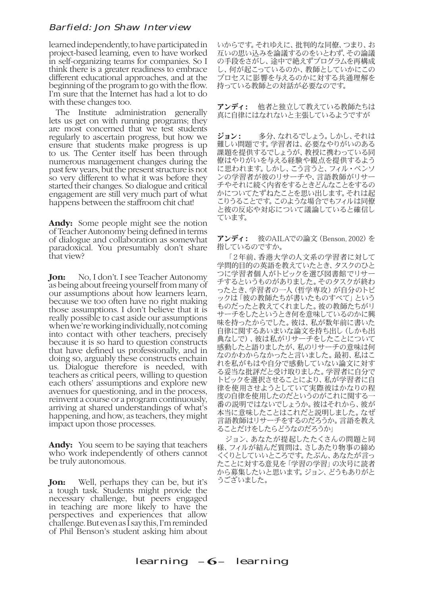learned independently, to have participated in project-based learning, even to have worked in self-organizing teams for companies. So I think there is a greater readiness to embrace different educational approaches, and at the beginning of the program to go with the flow. I'm sure that the Internet has had a lot to do with these changes too.

The Institute administration generally lets us get on with running programs; they are most concerned that we test students regularly to ascertain progress, but how we ensure that students make progress is up to us. The Center itself has been through numerous management changes during the past few years, but the present structure is not so very different to what it was before they started their changes. So dialogue and critical engagement are still very much part of what happens between the staffroom chit chat!

**Andy:**  Some people might see the notion of Teacher Autonomy being defined in terms of dialogue and collaboration as somewhat paradoxical. You presumably don't share that view?

**Jon:** No, I don't. I see Teacher Autonomy as being about freeing yourself from many of our assumptions about how learners learn, because we too often have no right making those assumptions. I don't believe that it is really possible to cast aside our assumptions when we're working individually, not coming into contact with other teachers, precisely because it is so hard to question constructs that have defined us professionally, and in doing so, arguably these constructs enchain us. Dialogue therefore is needed, with teachers as critical peers, willing to question each others' assumptions and explore new avenues for questioning, and in the process, reinvent a course or a program continuously, arriving at shared understandings of what's happening, and how, as teachers, they might impact upon those processes.

**Andy:** You seem to be saying that teachers who work independently of others cannot be truly autonomous.

**Jon:** Well, perhaps they can be, but it's a tough task. Students might provide the necessary challenge, but peers engaged in teaching are more likely to have the perspectives and experiences that allow challenge. But even as I say this, I'm reminded of Phil Benson's student asking him about

いからです。それゆえに、批判的な同僚、つまり、お 互いの思い込みを論議するのをいとわず、その論議 の手段をさがし、途中で絶えずプログラムを再構成 し、何が起こっているのか、教師としていかにこの プロセスに影響を与えるのかに対する共通理解を 持っている教師との対話が必要なのです。

アンディ: 他者と独立して教えている教師たちは 真に自律にはなれないと主張しているようですが

ジョン: 多分、なれるでしょう。しかし、それは 難しい問題です。学習者は、必要なやりがいのある 課題を提供するでしょうが、教授に携わっている同 僚はやりがいを与える経験や観点を提供するよう に思われます。しかし、こう言うと、フィル・ベンソ ンの学習者が彼のリサーチや、言語教師がリサー チやそれに続く内省をするときどんなことをするの かについてたずねたことを思い出します。それは起 こりうることです。このような場合でもフィルは同僚 と彼の反応や対応について議論していると確信し ています。

アンディ: 彼のAILAでの論文(Benson, 2002)を 指しているのですか。

「2年前、香港大学の人文系の学習者に対して 学問的目的の英語を教えていたとき、タスクのひと つに学習者個人がトピックを選び図書館でリサー チするというものがありました。そのタスクが終わ ったとき、学習者の一人(哲学専攻)が自分のトピ ックは「彼の教師たちが書いたものすべて」という ものだったと教えてくれました。彼の教師たちがリ サーチをしたというとき何を意味しているのかに興 味を持ったからでした。彼は、私が数年前に書いた 自律に関するあいまいな論文を持ち出し(しかも出 典なしで)、彼は私がリサーチをしたことについて 感動したと語りましたが、私のリサーチの意味は何 なのかわからなかったと言いました。最初、私はこ れを私がもはや自分で感動していない論文に対す る妥当な批評だと受け取りました。学習者に自分で トピックを選択させることにより、私が学習者に自 律を使用させようとしていて実際彼はかなりの程 度の自律を使用したのだというのがこれに関する 番の説明ではないでしょうか。彼はそれから、彼が 本当に意味したことはこれだと説明しました。なぜ 言語教師はリサーチをするのだろうか。言語を教え ることだけをしたらどうなのだろうか」

ジョン、あなたが提起したたくさんの問題と同 様、フィルが結んだ質問は、さしあたり物事の締め くくりとしていいところです。たぶん、あなたが言っ たことに対する意見を「学習の学習」の次号に読者 から募集したいと思います。ジョン、どうもありがと うございました。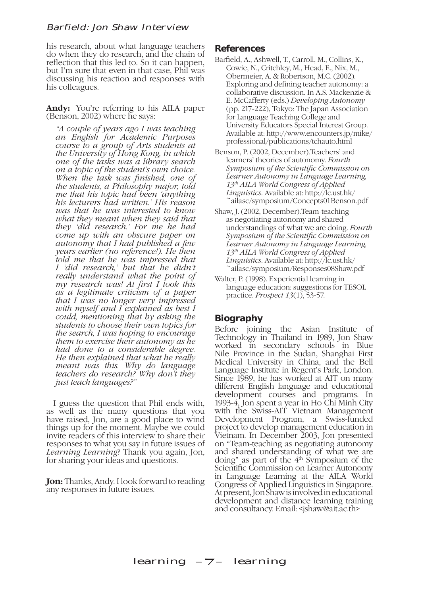his research, about what language teachers do when they do research, and the chain of reflection that this led to. So it can happen, but I'm sure that even in that case, Phil was discussing his reaction and responses with his colleagues.

Andy: You're referring to his AILA paper (Benson, 2002) where he says:

*"A couple of years ago I was teaching an English for Academic Purposes course to a group of Arts students at the University of Hong Kong, in which one of the tasks was a library search on a topic of the student's own choice. When the task was finished, one of the students, a Philosophy major, told me that his topic had been 'anything his lecturers had written.' His reason was that he was interested to know what they meant when they said that they 'did research.' For me he had come up with an obscure paper on autonomy that I had published a few years earlier (no reference!). He then told me that he was impressed that I 'did research,' but that he didn't really understand what the point of my research was! At first I took this as a legitimate criticism of a paper that I was no longer very impressed with myself and I explained as best I could, mentioning that by asking the students to choose their own topics for the search, I was hoping to encourage them to exercise their autonomy as he had done to a considerable degree. He then explained that what he really meant was this. Why do language teachers do research? Why don't they just teach languages?"*

I guess the question that Phil ends with, as well as the many questions that you have raised, Jon, are a good place to wind things up for the moment. Maybe we could invite readers of this interview to share their responses to what you say in future issues of *Learning Learning*? Thank you again, Jon, for sharing your ideas and questions.

**Jon:** Thanks, Andy. I look forward to reading any responses in future issues.

#### **References**

- Barfield, A., Ashwell, T., Carroll, M., Collins, K., Cowie, N., Critchley, M., Head, E., Nix, M., Obermeier, A. & Robertson, M.C. (2002). Exploring and defining teacher autonomy: a collaborative discussion. In A.S. Mackenzie & E. McCafferty (eds.) *Developing Autonomy* (pp. 217-222), Tokyo: The Japan Association for Language Teaching College and University Educators Special Interest Group. Available at: http://www.encounters.jp/mike/ professional/publications/tchauto.html
- Benson, P. (2002, December).Teachers' and learners' theories of autonomy. *Fourth Symposium of the Scientific Commission on Learner Autonomy in Language Learning, 13th AILA World Congress of Applied Linguistics*. Available at: http://lc.ust.hk/ ~ailasc/symposium/Concepts01Benson.pdf
- Shaw, J. (2002, December).Team-teaching as negotiating autonomy and shared understandings of what we are doing. *Fourth Symposium of the Scientific Commission on Learner Autonomy in Language Learning, 13th AILA World Congress of Applied Linguistics*. Available at: http://lc.ust.hk/ ~ailasc/symposium/Responses08Shaw.pdf
- Walter, P. (1998). Experiential learning in language education: suggestions for TESOL practice. *Prospect 13*(1), 53-57.

# **Biography**

Before joining the Asian Institute of Technology in Thailand in 1989, Jon Shaw worked in secondary schools in Blue Nile Province in the Sudan, Shanghai First Medical University in China, and the Bell Language Institute in Regent's Park, London. Since 1989, he has worked at AIT on many different English language and educational development courses and programs. In 1993-4, Jon spent a year in Ho Chi Minh City with the Swiss-AIT Vietnam Management Development Program, a Swiss-funded project to develop management education in Vietnam. In December 2003, Jon presented on "Team-teaching as negotiating autonomy and shared understanding of what we are doing" as part of the  $4<sup>th</sup>$  Symposium of the Scientific Commission on Learner Autonomy in Language Learning at the AILA World Congress of Applied Linguistics in Singapore. At present, Jon Shaw is involved in educational development and distance learning training and consultancy. Email: <jshaw@ait.ac.th>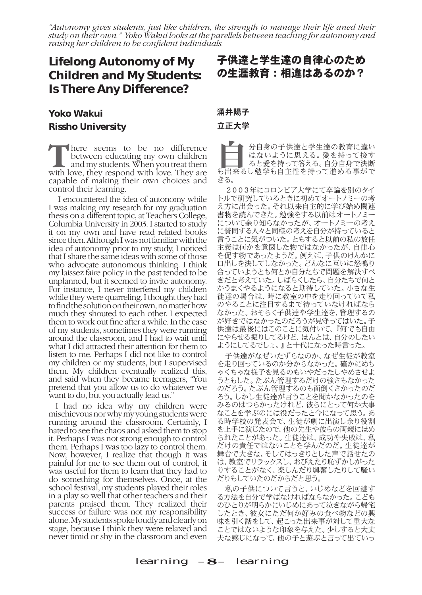*"Autonomy gives students, just like children, the strength to manage their life aned their study on their own." Yoko Wakui looks at the parellels between teaching for autonomy and raising her children to be confident individuals.* 

# **Lifelong Autonomy of My Children and My Students: Is There Any Difference?**

# **Yoko Wakui Rissho University**

**T** here seems to be no difference between educating my own children and my students. When you treat them with love they respond with love They are between educating my own children with love, they respond with love. They are capable of making their own choices and control their learning.

 I encountered the idea of autonomy while I was making my research for my graduation thesis on a different topic, at Teachers College, Columbia University in 2003. I started to study it on my own and have read related books since then. Although I was not familiar with the idea of autonomy prior to my study, I noticed that I share the same ideas with some of those who advocate autonomous thinking. I think my laissez faire policy in the past tended to be unplanned, but it seemed to invite autonomy. For instance, I never interfered my children while they were quarreling. I thought they had to find the solution on their own, no matter how much they shouted to each other. I expected them to work out fine after a while. In the case of my students, sometimes they were running around the classroom, and I had to wait until what I did attracted their attention for them to listen to me. Perhaps I did not like to control my children or my students, but I supervised them. My children eventually realized this, and said when they became teenagers, "You pretend that you allow us to do whatever we want to do, but you actually lead us."

I had no idea why my children were mischievous nor why my young students were running around the classroom. Certainly, I hated to see the chaos and asked them to stop it. Perhaps I was not strong enough to control them. Perhaps I was too lazy to control them. Now, however, I realize that though it was painful for me to see them out of control, it was useful for them to learn that they had to do something for themselves. Once, at the school festival, my students played their roles in a play so well that other teachers and their parents praised them. They realized their success or failure was not my responsibility alone. My students spoke loudly and clearly on stage, because I think they were relaxed and never timid or shy in the classroom and even

# 子供達と学生達の自律心のため の生涯教育:相違はあるのか?

#### 涌井陽子

#### 立正大学

自分自身の子供達と学生達の教育に違い はないように思える。愛を持って接す ると愛を持って答える。自分自身で決断 も出来るし勉学も自主性を持って進める事がで きる。

2003年にコロンビア大学にて卒論を別のタイ トルで研究しているときに初めてオートノミーの考 え方に出会った。それ以来自主的に学び始め関連 書物を読んできた。勉強をする以前はオートノミー について余り知らなかったが、オートノミーの考え に賛同する人々と同様の考えを自分が持っていると 言うことに気がついた。ともすると以前の私の放任 主義は何かを意図した物ではなかったが、自律心 を促す物であったようだ。例えば、子供のけんかに 口出しを決してしなかった。どんなに互いに怒鳴り 合っていようとも何とか自分たちで問題を解決すべ きだと考えていた。しばらくしたら、自分たちで何と かうまくやるようになると期待していた。小さな生 徒達の場合は、時に教室の中を走り回っていて私 のやることに注目するまで待っていなければなら なかった。おそらく子供達や学生達を、管理するの が好きではなかったのだろうが見守ってはいた。子 供達は最後にはこのことに気付いて、『何でも自由 にやらせる振りしてるけど、ほんとは、自分のしたい ようにしてるでしょ。』と十代になった時言った。

子供達がなぜいたずらなのか、なぜ生徒が教室 を走り回っているのか分からなかった。確かにめち ゃくちゃな様子を見るのもいやだったしやめさせよ うともした。たぶん管理するだけの強さもなかった のだろう。たぶん管理するのも面倒くさかったのだ ろう。しかし生徒達が言うことを聞かなかったのを みるのはつらかったけれど、彼らにとって何か大事 なことを学ぶのには役だったと今になって思う。あ る時学校の発表会で、生徒が劇に出演し余り役割 を上手に演じたので、他の先生や彼らの両親にほめ られたことがあった。生徒達は、成功や失敗は、私 だけの責任ではないことを学んだのだ。生徒達が 舞台で大きな、そしてはっきりとした声で話せたの は、教室でリラックスし、おびえたり恥ずかしがった りすることがなく、楽しんだり興奮したりして騒い だりもしていたのだからだと思う。

私の子供について言うと、いじめなどを回避す る方法を自分で学ばなければならなかった。こども のひとりが明らかにいじめにあって泣きながら帰宅 したとき、彼女にただ何か好みの食べ物などの興 味を引く話をして、起こった出来事が対して重大な ことではないような印象を与えた。少しすると大丈 夫な感じになって、他の子と遊ぶと言って出ていっ

#### learning  $-8$ – learning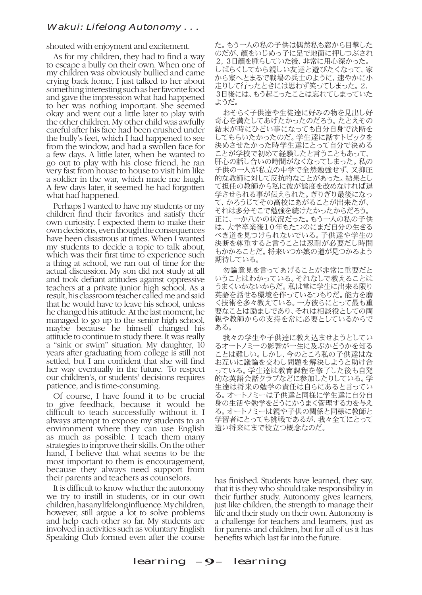#### Wakui: Lifelong Autonomy . . .

shouted with enjoyment and excitement.

As for my children, they had to find a way to escape a bully on their own. When one of my children was obviously bullied and came crying back home, I just talked to her about something interesting such as her favorite food and gave the impression what had happened to her was nothing important. She seemed okay and went out a little later to play with the other children. My other child was awfully careful after his face had been crushed under the bully's feet, which I had happened to see from the window, and had a swollen face for a few days. A little later, when he wanted to go out to play with his close friend, he ran very fast from house to house to visit him like a soldier in the war, which made me laugh. A few days later, it seemed he had forgotten what had happened.

Perhaps I wanted to have my students or my children find their favorites and satisfy their own curiosity. I expected them to make their own decisions, even though the consequences have been disastrous at times. When I wanted my students to decide a topic to talk about, which was their first time to experience such a thing at school, we ran out of time for the actual discussion. My son did not study at all and took defiant attitudes against oppressive teachers at a private junior high school. As a result, his classroom teacher called me and said that he would have to leave his school, unless he changed his attitude. At the last moment, he managed to go up to the senior high school, maybe because he himself changed his attitude to continue to study there. It was really a "sink or swim" situation. My daughter, 10 years after graduating from college is still not settled, but I am confident that she will find her way eventually in the future. To respect our children's, or students' decisions requires patience, and is time-consuming.

Of course, I have found it to be crucial to give feedback, because it would be difficult to teach successfully without it. I always attempt to expose my students to an environment where they can use English as much as possible. I teach them many strategies to improve their skills. On the other hand, I believe that what seems to be the most important to them is encouragement, because they always need support from their parents and teachers as counselors.

It is difficult to know whether the autonomy we try to instill in students, or in our own children, has any lifelong influence. My children, however, still argue a lot to solve problems and help each other so far. My students are involved in activities such as voluntary English Speaking Club formed even after the course

た。もう一人の私の子供は偶然私も窓から目撃した のだが、顔をいじめっ子に足で地面に押しつぶされ 2,3日顔を腫らしていた後、非常に用心深かった。 しばらくしてから親しい友達と遊びたくなって、家 から家へとまるで戦場の兵士のように、速やかに小 走りして行ったときには思わず笑ってしまった。2, 3日後には、もう起こったことは忘れてしまっていた ようだ。

おそらく子供達や生徒達に好みの物を見出し好 奇心を満たしてあげたかったのだろう。たとえその 結末が時にひどい事になっても自分自身で決断を してもらいたかったのだ。学生達に話すトピックを 決めさせたかった時学生達にとって自分で決める ことが学校で初めて経験したと言うこともあって、 肝心の話し合いの時間がなくなってしまった。私の 子供の一人が私立の中学で全然勉強せず、又抑圧 的な教師に対して反抗的なことがあった。結果とし て担任の教師から私に彼が態度を改めなければ退 学させられる事が伝えられた。ぎりぎり最後になっ て、かろうじてその高校にあがることが出来たが、 それは多分そこで勉強を続けたかったからだろう。 正に、一か八かの状況だった。もう一人の私の子供 は、大学卒業後10年もたつのにまだ自分の生きる べき道を見つけられないでいる。子供達や学生の 決断を尊重すると言うことは忍耐が必要だし時間 もかかることだ。将来いつか娘の道が見つかるよう 期待している。

勿論意見を言ってあげることが非常に重要だと いうことはわかっている。それなしで教えることは うまくいかないからだ。私は常に学生に出来る限り 英語を話せる環境を作っているつもりだ。能力を磨 く技術を多々教えている。一方彼らにとって最も重 要なことは励ましであり、それは相談役としての両 親や教師からの支持を常に必要としているからで ある。

我々の学生や子供達に教え込ませようとしてい るオートノミーの影響が一生に及ぶかどうかを知る ことは難しい。しかし、今のところ私の子供達はな お互いに議論を交わし問題を解決しようと助け合 っている。学生達は教育課程を修了した後も自発 的な英語会話クラブなどに参加したりしている。学 生達は将来の勉学の責任は自らにあると言ってい る。オートノミーは子供達と同様に学生達に自分自 身の生活や勉学をどうにかうまく管理する力を与え る。オートノミーは親や子供の関係と同様に教師と 学習者にとっても挑戦であるが、我々全てにとって 遠い将来にまで役立つ概念なのだ。

has finished. Students have learned, they say, that it is they who should take responsibility in their further study. Autonomy gives learners, just like children, the strength to manage their life and their study on their own. Autonomy is a challenge for teachers and learners, just as for parents and children, but for all of us it has benefits which last far into the future.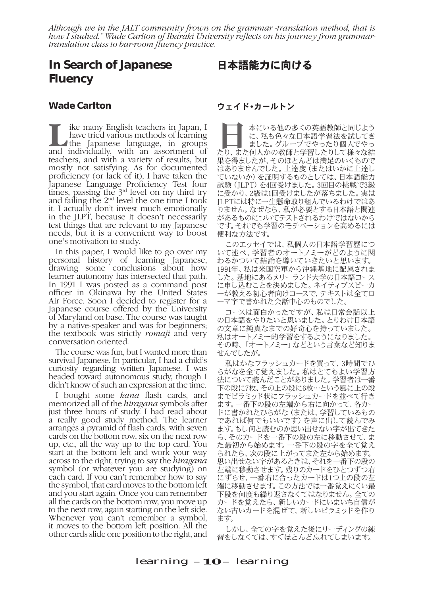*Although we in the JALT community frown on the grammar -translation method, that is how I studied." Wade Carlton of Ibaraki University reflects on his journey from grammartranslation class to bar-room fluency practice.*

# **In Search of Japanese Fluency**

# 日本語能力に向ける

#### **Wade Carlton**

**Like many English teachers in Japan, I** have tried various methods of learning<br>the Japanese language, in groups have tried various methods of learning and individually, with an assortment of teachers, and with a variety of results, but mostly not satisfying. As for documented proficiency (or lack of it), I have taken the Japanese Language Proficiency Test four times, passing the  $3<sup>rd</sup>$  level on my third try and failing the 2nd level the one time I took it. I actually don't invest much emotionally in the JLPT, because it doesn't necessarily test things that are relevant to my Japanese needs, but it is a convenient way to boost one's motivation to study.

In this paper, I would like to go over my personal history of learning Japanese, drawing some conclusions about how learner autonomy has intersected that path. In 1991 I was posted as a command post officer in Okinawa by the United States Air Force. Soon I decided to register for a Japanese course offered by the University of Maryland on base. The course was taught by a native-speaker and was for beginners; the textbook was strictly *romaji* and very conversation oriented.

The course was fun, but I wanted more than survival Japanese. In particular, I had a child's curiosity regarding written Japanese. I was headed toward autonomous study, though I didn't know of such an expression at the time.

I bought some *kana* flash cards, and memorized all of the *hiragana* symbols after just three hours of study. I had read about a really good study method. The learner arranges a pyramid of flash cards, with seven cards on the bottom row, six on the next row up, etc., all the way up to the top card. You start at the bottom left and work your way across to the right, trying to say the *hiragana* symbol (or whatever you are studying) on each card. If you can't remember how to say the symbol, that card moves to the bottom left and you start again. Once you can remember all the cards on the bottom row, you move up to the next row, again starting on the left side. Whenever you can't remember a symbol, it moves to the bottom left position. All the other cards slide one position to the right, and

#### ウェイド•カールトン

■■■本にいる他の多くの英語教師と同じよう<br>に、私も色々な日本語学習法を試してき<br>ました。グループでやったり個人でやっ<br>たり、また何人かの教師と学習したりして様々な結 に、私も色々な日本語学習法を試してき ました。グループでやったり個人でやっ 果を得ましたが、そのほとんどは満足のいくもので はありませんでした。上達度(またはいかに上達し ていないか)を証明するものとしては、日本語能力 試験(JLPT)を4回受けました。3回目の挑戦で3級 に受かり、2級は1回受けましたが落ちました。実は JLPTには特に一生懸命取り組んでいるわけではあ りません。なぜなら、私が必要とする日本語と関連 があるものについてテストされるわけではないから です。それでも学習のモチベーションを高めるには 便利な方法です。

このエッセイでは、私個人の日本語学習歴につ いて述べ、学習者のオートノミーがどのように関 わるかついて結論を導いていきたいと思います。 1991年、私は米国空軍から沖縄基地に配属されま した。基地にあるメリーランド大学の日本語コース に申し込むことを決めました。ネイティブスピーカ ーが教える初心者向けコースで、テキストは全てロ ーマ字で書かれた会話中心のものでした。

コースは面白かったですが、私は日常会話以上 の日本語をやりたいと思いました。とりわけ日本語 の文章に純真なまでの好奇心を持っていました。 私はオートノミー的学習をするようになりました。 その時、「オートノミー」などという言葉など知りま せんでしたが。

私はかなフラッシュカードを買って、3時間でひ らがなを全て覚えました。私はとてもよい学習方 法について読んだことがありました。学習者は一番 下の段に7枚、その上の段に6枚…という風に上の段 までピラミッド状にフラッシュカードを並べて行き ます。一番下の段の左端から右に向かって、各カー ドに書かれたひらがな(または、学習しているもの であれば何でもいいです)を声に出して読んでみ ます。もし何と読むのか思い出せない字が出てきた ら、そのカードを一番下の段の左に移動させて、ま た最初から始めます。一番下の段の字を全て覚え られたら、次の段に上がってまた左から始めます。 思い出せない字があるときは、それを一番下の段の 左端に移動させます。残りのカードをひとつずつ右 にずらせ、一番右に合ったカードは1つ上の段の左 端に移動させます。この方法では一番覚えにくい最 下段を何度も繰り返さなくてはなりません。全ての カードを覚えたら、新しいカードにいまいち自信が ない古いカードを混ぜて、新しいピラミッドを作り ます。

しかし、全ての字を覚えた後にリーディングの練 習をしなくては、すぐほとんど忘れてしまいます。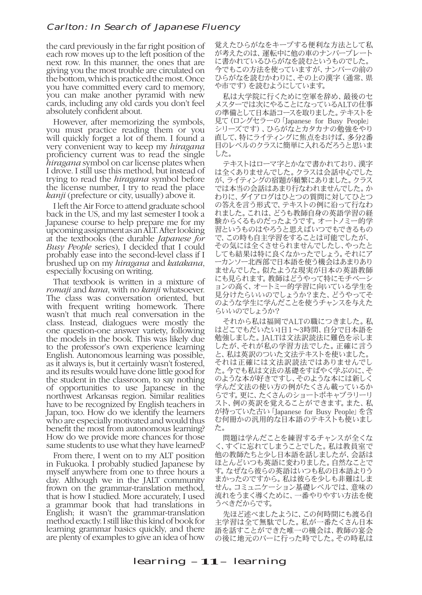the card previously in the far right position of each row moves up to the left position of the next row. In this manner, the ones that are giving you the most trouble are circulated on the bottom, which is practiced the most. Once you have committed every card to memory, you can make another pyramid with new cards, including any old cards you don't feel absolutely confident about.

However, after memorizing the symbols, you must practice reading them or you will quickly forget a lot of them. I found a very convenient way to keep my *hiragana* proficiency current was to read the single *hiragana* symbol on car license plates when<br>I drove. I still use this method, but instead of<br>trying to read the *hiragana* symbol before the license number, I try to read the place *kanji* (prefecture or city, usually) above it.

I left the Air Force to attend graduate school back in the US, and my last semester I took a Japanese course to help prepare me for my upcoming assignment as an ALT. After looking at the textbooks (the durable *Japanese for Busy People* series), I decided that I could probably ease into the second-level class if I brushed up on my *hiragana* and *katakana*, especially focusing on writing.

That textbook is written in a mixture of *romaji* and *kana*, with no *kanji* whatsoever. The class was conversation oriented, but with frequent writing homework. There wasn't that much real conversation in the class. Instead, dialogues were mostly the one question-one answer variety, following the models in the book. This was likely due to the professor's own experience learning English. Autonomous learning was possible, as it always is, but it certainly wasn't fostered, and its results would have done little good for the student in the classroom, to say nothing of opportunities to use Japanese in the northwest Arkansas region. Similar realities have to be recognized by English teachers in Japan, too. How do we identify the learners who are especially motivated and would thus benefit the most from autonomous learning? How do we provide more chances for those same students to use what they have learned?

From there, I went on to my ALT position in Fukuoka. I probably studied Japanese by myself anywhere from one to three hours a day. Although we in the JALT community frown on the grammar-translation method, that is how I studied. More accurately, I used a grammar book that had translations in English; it wasn't the grammar-translation method exactly. I still like this kind of book for learning grammar basics quickly, and there are plenty of examples to give an idea of how

覚えたひらがなをキープする便利な方法として私 が考えたのは、運転中に他の車のナンバープレート に書かれているひらがなを読むというものでした。 今でもこの方法を使っていますが、ナンバーの前の ひらがなを読むかわりに、その上の漢字(通常、県 や市です)を読むようにしています。

私は大学院に行くために空軍を辞め、最後のセ メスターでは次にやることになっているALTの仕事 の準備として日本語コースを取りました。テキストを 見て(ロングセラーの「Japanese for Busy People」 シリーズです)、ひらがなとカタカナの勉強をやり 直して、特にライティングに焦点をおけば、多分2番 目のレベルのクラスに簡単に入れるだろうと思いま した。

テキストはローマ字とかなで書かれており、漢字 は全くありませんでした。クラスは会話中心でした が、ライティングの宿題が頻繁にありました。クラス では本当の会話はあまり行なわれませんでした。か わりに、ダイアログはひとつの質問に対してひとつ の答えを言う形式で、テキストの例に沿って行なわ れました。これは、どうも教師自身の英語学習の経 .........<br>験からくるものだったようです。 オートノミー的学 習というものはやろうと思えばいつでもできるもの で、この時も自主学習をすることは可能でしたが、 その気には全くさせられませんでしたし、やったと しても結果は特に良くなかったでしょう。それにア ーカンソー北西部で日本語を使う機会はあまりあり ませんでした。似たような現実が日本の英語教師 にも見られます。教師はどうやって特にモチベーシ ョンの高く、オートミー的学習に向いている学生を 見分けたらいいのでしょうか?また、どうやってそ のような学生に学んだことを使うチャンスを与えた らいいのでしょうか?

それから私は福岡でALTの職につきました。私 はどこでもだいたい1日1~3時間、自分で日本語を 勉強しました。JALTは文法訳読法に難色を示しま したが、それが私の学習方法でした。正確に言う と、私は英訳のついた文法テキストを使いました。 それは正確には文法訳読法ではありませんでし た。今でも私は文法の基礎をすばやく学ぶのに、そ のような本が好きですし、そのような本には新しく 学んだ文法の使い方の例がたくさん載っているか らです。更に、たくさんのショートボキャブラリーリ スト、例の英訳を覚えることができます。また、私 が持っていた古い「Japanese for Busy People」を含 む何冊かの汎用的な日本語のテキストも使いまし た。

問題は学んだことを練習するチャンスが全くな く、すぐに忘れてしまうことでした。私は教員室で 他の教師たちと少し日本語を話しましたが、会話は ほとんどいつも英語に変わりました。自然なことで す。なぜなら彼らの英語はいつも私の日本語よりう まかったのですから。私は彼らを少しも非難はしま せん。コミュニケーション基礎レベルでは、意味の 流れをうまく導くために、一番やりやすい方法を使 うべきだからです。

先ほど述べましたように、この何時間にも渡る自 主学習は全て無駄でした。私が一番たくさん日本 語を話すことができた唯一の機会は、教師の宴会 の後に地元のバーに行った時でした。その時私は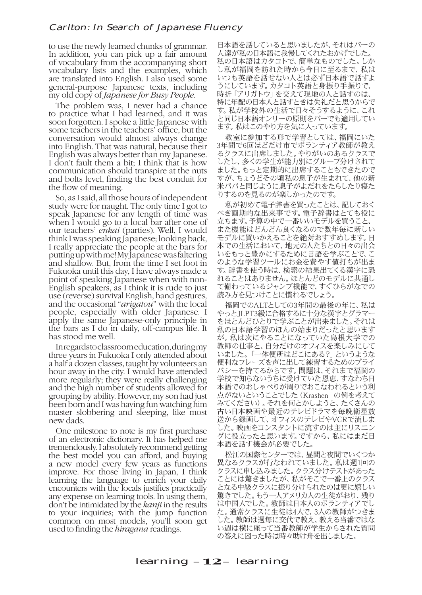to use the newly learned chunks of grammar. In addition, you can pick up a fair amount of vocabulary from the accompanying short vocabulary lists and the examples, which are translated into English. I also used some general-purpose Japanese texts, including my old copy of *Japanese for Busy People*.

The problem was, I never had a chance to practice what I had learned, and it was soon forgotten. I spoke a little Japanese with some teachers in the teachers' office, but the conversation would almost always change into English. That was natural, because their English was always better than my Japanese. I don't fault them a bit; I think that is how communication should transpire at the nuts and bolts level, finding the best conduit for the flow of meaning.

So, as I said, all those hours of independent study were for naught. The only time I got to speak Japanese for any length of time was when I would go to a local bar after one of our teachers' *enkai* (parties). Well, I would think I was speaking Japanese; looking back, I really appreciate the people at the bars for putting up with me! My Japanese was faltering and shallow. But, from the time I set foot in Fukuoka until this day, I have always made a point of speaking Japanese when with non-English speakers, as I think it is rude to just use (reverse) survival English, hand gestures, and the occasional "*arigatou*" with the local people, especially with older Japanese. I apply the same Japanese-only principle in the bars as I do in daily, off-campus life. It has stood me well.

In regards to classroom education, during my three years in Fukuoka I only attended about a half a dozen classes, taught by volunteers an hour away in the city. I would have attended more regularly; they were really challenging and the high number of students allowed for grouping by ability. However, my son had just been born and I was having fun watching him master slobbering and sleeping, like most new dads.

One milestone to note is my first purchase of an electronic dictionary. It has helped me tremendously. I absolutely recommend getting the best model you can afford, and buying a new model every few years as functions improve. For those living in Japan, I think learning the language to enrich your daily encounters with the locals justifies practically any expense on learning tools. In using them, don't be intimidated by the *kanji* in the results to your inquiries; with the jump function common on most models, you'll soon get used to finding the *hiragana* readings.

日本語を話していると思いましたが、それはバーの 人達が私の日本語に我慢してくれたおかげでした。 私の日本語はカタコトで、簡単なものでした。しか し私が福岡を訪れた時から今日に至るまで、私は いつも英語を話せない人とは必ず日本語で話すよ うにしています。カタコト英語と身振り手振りで、 時折「アリガトウ」を交えて現地の人と話すのは、 特に年配の日本人と話すときは失礼だと思うからで す。私が学校外の生活で日々そうするように、これ と同じ日本語オンリーの原則をバーでも適用してい ます。私はこのやり方を気に入っています。

教室に参加する形で学習としては、福岡にいた 3年間で6回ほどだけ市でボランティア教師が教え るクラスに出席しました。やりがいのあるクラスで したし、多くの学生が能力別にグループ分けされて ました。もっと定期的に出席することもできたので すが、ちょうどその頃私の息子が生まれて、他の新 米パパと同じように息子がよだれをたらしたり寝た りするのを見るのが楽しかったのです。

私が初めて電子辞書を買ったことは、記しておく べき画期的な出来事です。電子辞書はとても役に 立ちます。予算の中で一番いいモデルを買うこと、 また機能はどんどん良くなるので数年毎に新しい モデルに買いかえることを絶対おすすめします。日 本での生活において、地元の人たちとの日々の出会 いをもっと豊かにするために言語を学ぶことで、こ のような学習ツールにお金を費やす値打ちが出ま す。辞書を使う時は、検索の結果出てくる漢字に恐 れることはありません。ほとんどのモデルに共通し て備わっているジャンプ機能で、すぐひらがなでの 読み方を見つけことに慣れるでしょう。

福岡でのALTとしての3年間の最後の年に、私は やっとJLPT3級に合格するに十分な漢字とグラマー をほとんどひとりで学ぶことが出来ました。それは 私の日本語学習のほんの始まりだったと思います が。私は次にやることになっていた島根大学での 教師の仕事と、自分だけのオフィスを楽しみにして いました。「一体便所はどこにある?」というような 便利なフレーズを声に出して練習するためのプライ バシーを持てるからです。問題は、それまで福岡の 学校で知らないうちに受けていた恩恵、すなわち日 本語でのおしゃべりが周りでおこなわれるという利 点がないということでした(Krashen の例を考えて みてください)。それを何とかしようと、たくさんの 古い日本映画や最近のテレビドラマを毎晩衛星放 送から録画して、オフィスのテレビやVCRで流しま した。映画をコンスタントに流すのは主にリスニン グに役立ったと思います。ですから、私にはまだ日 本語を話す機会が必要でした。

松江の国際センターでは、昼間と夜間でいくつか 異なるクラスが行なわれていました。私は週1回の クラスに申し込みました。クラス分けテストがあった ことには驚きましたが、私がそこで一番上のクラス となる中級クラスに振り分けられたのは更に嬉しい 驚きでした。もう一人アメリカ人の生徒がおり、残り い中国人でした。教師は日本人のボランティアでし た。通常クラスに生徒は4人で、3人の教師がつきま した。教師は週毎に交代で教え、教える当番ではな い週は横に座って当番教師が学生からされた質問 の答えに困った時は時々助け舟を出しました。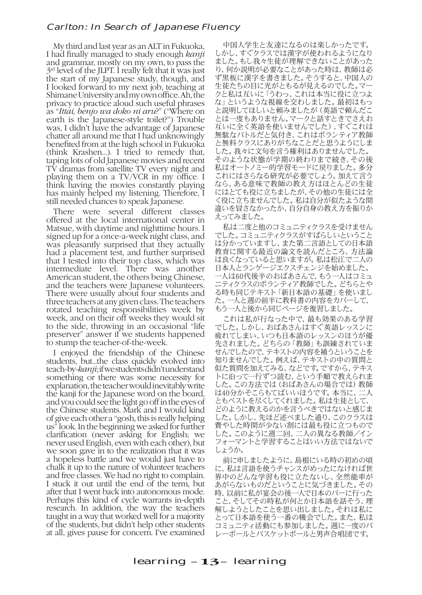My third and last year as an ALT in Fukuoka, I had finally managed to study enough *kanji* and grammar, mostly on my own, to pass the 3<sup>rd</sup> level of the JLPT. I really felt that it was just the start of my Japanese study, though, and I looked forward to my next job, teaching at Shimane University and my own office. Ah, the privacy to practice aloud such useful phrases as "*Ittai, benjo wa doko ni aru*?" ("Where on earth is the Japanese-style toilet?") Trouble was, I didn't have the advantage of Japanese chatter all around me that I had unknowingly benefited from at the high school in Fukuoka (think Krashen...). I tried to remedy that, taping lots of old Japanese movies and recent TV dramas from satellite TV every night and playing them on a TV/VCR in my office. I think having the movies constantly playing has mainly helped my listening. Therefore, I still needed chances to speak Japanese.

There were several different classes offered at the local international center in Matsue, with daytime and nighttime hours. I signed up for a once-a-week night class, and was pleasantly surprised that they actually had a placement test, and further surprised that I tested into their top class, which was intermediate level. There was another American student, the others being Chinese, and the teachers were Japanese volunteers. There were usually about four students and three teachers at any given class. The teachers rotated teaching responsibilities week by week, and on their off weeks they would sit to the side, throwing in an occasional "life preserver" answer if we students happened to stump the teacher-of-the-week.

I enjoyed the friendship of the Chinese students, but...the class quickly evolved into teach-by-*kanji*; if we students didn't understand something or there was some necessity for explanation, the teacher would inevitably write the kanji for the Japanese word on the board, and you could see the light go off in the eyes of the Chinese students. Mark and I would kind of give each other a "gosh, this is really helping us" look. In the beginning we asked for further clarification (never asking for English; we never used English, even with each other), but we soon gave in to the realization that it was a hopeless battle and we would just have to chalk it up to the nature of volunteer teachers and free classes. We had no right to complain. I stuck it out until the end of the term, but after that I went back into autonomous mode. Perhaps this kind of cycle warrants in-depth research. In addition, the way the teachers taught in a way that worked well for a majority of the students, but didn't help other students at all, gives pause for concern. I've examined

中国人学生と友達になるのは楽しかったです。 しかし、すぐクラスでは漢字が使われるようになり ました。もし我々生徒が理解できないことがあった り、何か説明が必要なことがあった時は、教師は必 ず黒板に漢字を書きました。そうすると、中国人の 生徒たちの目に光がともるが見えるのでした。マー クと私は互いに「うわっ、これは本当に役に立つよ な」というような視線を交わしました。最初はもっ と説明してほしいと頼みましたが(英語で頼んだ とは一度もありません。マークと話すときでさえお 互いに全く英語を使いませんでした)、すぐこれは 無駄なバトルだと気付き、これはボランティア教師 と無料クラスにありがちなことだと思うようにしま した。我々に文句を言う権利はありませんでした。 そのような状態が学期の終わりまで続き、その後 私はオートノミー的学習モードに戻りました。多分 これにはさらなる研究が必要でしょう。加えて言う なら、ある意味で教師の教え方はほとんどの生徒 にはとても役に立ちましたが、その他の生徒には全 く役に立ちませんでした。私は自分が似たような間 違いを冒さなかったか、自分自身の教え方を振りか えってみました。

私は二度と他のコミュニティクラスを受けません でした。コミュニティクラスがすばらしいということ は分かっていますし、また第二言語としての日本語 教育に関する最近の論文を読んだところ、方法論 は良くなっていると思いますが。私は松江で二人の 日本人とランゲージエクスチェンジを始めました。 一人は60代後半のおばあさんで、もう一人はコミュ ニティクラスのボランティア教師でした。どちらとや る時も同じテキスト「新日本語の基礎」を使いまし た。一人と週の前半に教科書の内容をカバーして、 もう一人と後から同じページを復習しました。

これは私が行なった中で、最も効果のある学習 でした。しかし、おばあさんはすぐ英語レッスンに 疲れてしまい、いつも日本語のレッスンのほうが優 先されました。どちらの「教師」も訓練されていま せんでしたので、テキストの内容を補うということを 知りませんでした。例えば、テキストの中の質問と んしいこしゃ こうしゃ しんこう しょうしょう スト・コール トに沿って一行ずつ読む、という手順で教えられま した。この方法では(おばあさんの場合では)教師 は40分かそこらもてばいいほうです。本当に、二人 ともベストを尽くしてくれました。私は生徒として、 どのように教えるのかを言うべきではないと感じま した。しかし、先ほど述べました通り、このクラスは 費やした時間が少ない割には最も役に立つもので した。このように週二回、二人の異なる教師/イン フォーマントと学習することはいい方法ではないで しょうか。

前に申しましたように、島根にいる時の初めの頃 に、私は言語を使うチャンスがめったになければ世 界中のどんな学習も役に立たないし、全然能率が あがらないものだということに気づきました。その 時、以前に私が宴会の後一人で日本のバーに行った こと、そしてその時私が何とか日本語を話そう、理 解しようとしたことを思い出しました。それは私に とって日本語を使う一番の機会でした。また、私は コミュニティ活動にも参加しました。週に一度のバ レーボールとバスケットボールと男声合唱団です。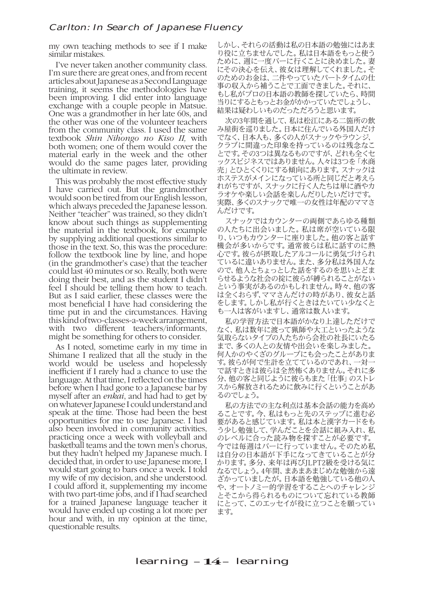my own teaching methods to see if I make similar mistakes.

I've never taken another community class. I'm sure there are great ones, and from recent articles about Japanese as a Second Language training, it seems the methodologies have been improving. I did enter into language exchange with a couple people in Matsue. One was a grandmother in her late 60s, and the other was one of the volunteer teachers from the community class. I used the same textbook *Shin Nihongo no Kiso II,* with both women; one of them would cover the material early in the week and the other would do the same pages later, providing the ultimate in review.

This was probably the most effective study I have carried out. But the grandmother would soon be tired from our English lesson, which always preceded the Japanese lesson. Neither "teacher" was trained, so they didn't know about such things as supplementing the material in the textbook, for example by supplying additional questions similar to those in the text. So, this was the procedure: follow the textbook line by line, and hope (in the grandmother's case) that the teacher could last 40 minutes or so. Really, both were doing their best, and as the student I didn't feel I should be telling them how to teach. But as I said earlier, these classes were the most beneficial I have had considering the time put in and the circumstances. Having this kind of two-classes-a-week arrangement, with two different teachers/informants, might be something for others to consider.

As I noted, sometime early in my time in Shimane I realized that all the study in the world would be useless and hopelessly inefficient if I rarely had a chance to use the language. At that time, I reflected on the times before when I had gone to a Japanese bar by myself after an *enkai*, and had had to get by on whatever Japanese I could understand and speak at the time. Those had been the best opportunities for me to use Japanese. I had also been involved in community activities, practicing once a week with volleyball and basketball teams and the town men's chorus, but they hadn't helped my Japanese much. I decided that, in order to use Japanese more, I would start going to bars once a week. I told my wife of my decision, and she understood. I could afford it, supplementing my income with two part-time jobs, and if I had searched for a trained Japanese language teacher it would have ended up costing a lot more per hour and with, in my opinion at the time, questionable results.

しかし、それらの活動は私の日本語の勉強にはあま り役に立ちませんでした。私は日本語をもっと使う ために、週に一度バーに行くことに決めました。妻 にその決心を伝え、彼女は理解してくれました。そ のためのお金は、二件やっていたパートタイムの仕 事の収入から補うことで工面できました。それに、 もし私がプロの日本語の教師を探していたら、時間 当りにするともっとお金がかかっていたでしょうし、 結果は疑わしいものだっただろうと思います。

次の3年間を通して、私は松江にある二箇所の飲 み屋街を巡りました。日本に住んでいる外国人だけ でなく、日本人も、多くの人がスナックやラウンジ、 クラブに間違った印象を持っているのは残念なこ とです。その3つは異なるものですが、どれも全くセ ックスビジネスではありません。人々は3つを「水商 売」とひとくくりにする傾向にあります。スナックは ホステスがメインになっている所と同じだと考えら れがちですが、スナックに行く人たちは単に酒やカ ラオケや楽しい会話を楽しんだりしたいだけです。 実際、多くのスナックで唯一の女性は年配のママさ んだけです。

スナックではカウンターの両側であらゆる種類 の人たちに出会いました。私は席が空いている限 り、いつもカウンターに座りました。他の客と話す **・・・・・・・・・・・・・。ここでは、**<br>機会が多いからです。通常彼らは私に話すのに熱 心です。彼らが摂取したアルコールに勇気づけられ ているに違いありません。また、多分私は外国人な ので、他人とちょっとした話をするのを思いとどま らせるような社会の掟に彼らが縛られることがない という事実があるのかもしれません。時々、他の客 は全くおらず、ママさんだけの時があり、彼女と話 をします。しかし私が行くときはたいてい少なくと も一人は客がいますし、通常は数人います。

私の学習方法で日本語がかなり上達しただけで なく、私は数年に渡って猟師や大工といったような 気取らないタイプの人たちから会社の社長にいたる まで、多くの人との友情や出会いを楽しみました。 何人かのやくざのグループにも会ったことがありま す。彼らが何で生計を立てているのであれ、一対一 で話すときは彼らは全然怖くありません。それに多 分、他の客と同じように彼らもまた「仕事」のストレ スから解放されるために飲みに行くということがあ るのでしょう。

私の方法での主な利点は基本会話の能力を高め ることです。今、私はもっと先のステップに進む必 要があると感じています。私は本と漢字カードをも う少し勉強して、学んだことを会話に組み入れ、私 のレベルに合った読み物を探すことが必要です。 今では毎週はバーに行っていません。そのため私 は自分の日本語が下手になってきていることが分 かります。多分、来年は再びJLPT2級を受ける気に なるでしょう。4年間、まあまあまじめな勉強から遠 ざかっていましたが。日本語を勉強している他の人 や、オートノミー的学習をすることへのチャレンジ とそこから得られるものについて忘れている教師 にとって、このエッセイが役に立つことを願ってい ます。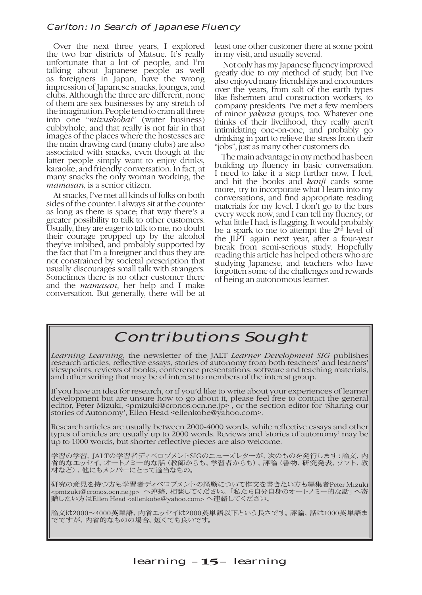Over the next three years, I explored the two bar districts of Matsue. It's really unfortunate that a lot of people, and I'm talking about Japanese people as well as foreigners in Japan, have the wrong impression of Japanese snacks, lounges, and clubs. Although the three are different, none of them are sex businesses by any stretch of the imagination. People tend to cram all three into one "*mizushobai*" (water business) cubbyhole, and that really is not fair in that images of the places where the hostesses are the main drawing card (many clubs) are also associated with snacks, even though at the latter people simply want to enjoy drinks, karaoke, and friendly conversation. In fact, at many snacks the only woman working, the *mamasan,* is a senior citizen.

At snacks, I've met all kinds of folks on both sides of the counter. I always sit at the counter as long as there is space; that way there's a greater possibility to talk to other customers. Usually, they are eager to talk to me, no doubt their courage propped up by the alcohol they've imbibed, and probably supported by the fact that I'm a foreigner and thus they are not constrained by societal prescription that usually discourages small talk with strangers. Sometimes there is no other customer there and the *mamasan*, her help and I make conversation. But generally, there will be at

least one other customer there at some point in my visit, and usually several.

 Not only has my Japanese fluency improved greatly due to my method of study, but I've also enjoyed many friendships and encounters over the years, from salt of the earth types like fishermen and construction workers, to company presidents. I've met a few members of minor *yakuza* groups, too. Whatever one thinks of their livelihood, they really aren't intimidating one-on-one, and probably go drinking in part to relieve the stress from their "jobs", just as many other customers do.

The main advantage in my method has been building up fluency in basic conversation. I need to take it a step further now, I feel, and hit the books and *kanji* cards some more, try to incorporate what I learn into my conversations, and find appropriate reading materials for my level. I don't go to the bars every week now, and I can tell my fluency, or what little I had, is flagging. It would probably be a spark to me to attempt the  $2<sup>nd</sup>$  level of the JLPT again next year, after a four-year break from semi-serious study. Hopefully reading this article has helped others who are studying Japanese, and teachers who have forgotten some of the challenges and rewards of being an autonomous learner.

# Contributions Sought

*Learning Learning*, the newsletter of the JALT *Learner Development SIG* publishes research articles, reflective essays, stories of autonomy from both teachers' and learners' viewpoints, reviews of books, conference presentations, software and teaching materials, and other writing that may be of interest to members of the interest group.

If you have an idea for research, or if you'd like to write about your experiences of learner development but are unsure how to go about it, please feel free to contact the general editor, Peter Mizuki, <pmizuki@cronos.ocn.ne.jp> , or the section editor for 'Sharing our stories of Autonomy', Ellen Head <ellenkobe@yahoo.com>.

Research articles are usually between 2000-4000 words, while reflective essays and other types of articles are usually up to 2000 words. Reviews and 'stories of autonomy' may be up to 1000 words, but shorter reflective pieces are also welcome.

学習の学習、JALTの学習者ディベロプメントSIGのニューズレターが、次のものを発行します:論文、内 省的なエッセイ、オートノミー的な話(教師からも、学習者からも)、評論(書物、研究発表、ソフト、教 材など)、他にもメンバーにとって適当なもの。

研究の意見を持つ方も学習者ディベロプメントの経験について作文を書きたい方も編集者Peter Mizuki <pmizuki@cronos.ocn.ne.jp> へ連絡、相談してください。「私たち自分自身のオートノミー的な話」へ寄 贈したい方はEllen Head <ellenkobe@yahoo.com> へ連絡してください。

論文は2000~4000英単語、内省エッセイは2000英単語以下という長さです。評論、話は1000英単語ま でですが、内省的なものの場合、短くても良いです。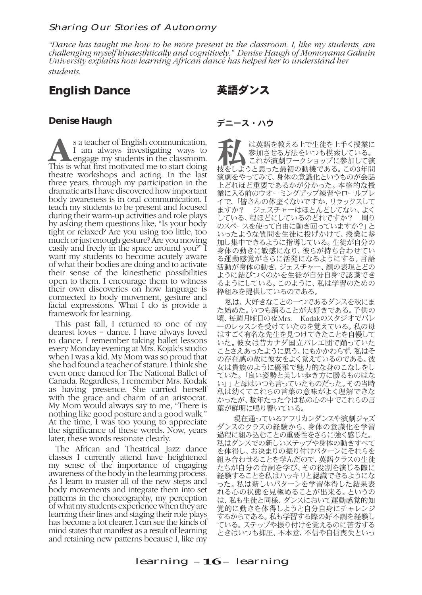#### Sharing Our Stories of Autonomy

*"Dance has taught me how to be more present in the classroom. I, like my students, am challenging myself kinaesthtically and cognitively." Denise Haugh of Momoyama Gakuin University explains how learning African dance has helped her to understand her students.*

# **English Dance**

# 英語ダンス

### **Denise Haugh**

**As a teacher of English communication, I** am always investigating ways to engage my students in the classroom.<br>This is what first motivated me to start doing I am always investigating ways to This is what first motivated me to start doing theatre workshops and acting. In the last three years, through my participation in the dramatic arts I have discovered how important body awareness is in oral communication. I teach my students to be present and focused during their warm-up activities and role plays by asking them questions like, "Is your body tight or relaxed? Are you using too little, too much or just enough gesture? Are you moving easily and freely in the space around you?" I want my students to become acutely aware of what their bodies are doing and to activate their sense of the kinesthetic possibilities open to them. I encourage them to witness their own discoveries on how language is connected to body movement, gesture and facial expressions. What I do is provide a framework for learning.

This past fall, I returned to one of my dearest loves – dance. I have always loved to dance. I remember taking ballet lessons every Monday evening at Mrs. Kojak's studio when I was a kid. My Mom was so proud that she had found a teacher of stature. I think she even once danced for The National Ballet of Canada. Regardless, I remember Mrs. Kodak as having presence. She carried herself with the grace and charm of an aristocrat. My Mom would always say to me, "There is nothing like good posture and a good walk." At the time, I was too young to appreciate the significance of these words. Now, years later, these words resonate clearly.

The African and Theatrical Jazz dance classes I currently attend have heightened my sense of the importance of engaging awareness of the body in the learning process. As I learn to master all of the new steps and body movements and integrate them into set patterns in the choreography, my perception of what my students experience when they are learning their lines and staging their role plays has become a lot clearer. I can see the kinds of mind states that manifest as a result of learning and retaining new patterns because I, like my

#### デニース・ハウ

ート は英語を教える上で生徒を上手く授業に<br>参加させる方法をいつも模索している。<br>これが演劇ワークショップに参加して演 参加させる方法をいつも模索している。 技をしようと思った最初の動機である。この3年間 演劇をやってみて、身体の意識化というものが会話 上どれほど重要であるかが分かった。本格的な授 業に入る前のウオーミングアップ練習やロールプレ 。<br>イで、「皆さんの体堅くないですか、リラックスして<br>ますか? ジェスチャーはほとんどしてない、よく ジェスチャーはほとんどしてない、よく している、程ほどにしているのどれですか? 周り のスペースを使って自由に動き回っていますか?」と いったような質問を生徒に投げかけて、授業に参 加し集中できるように指導している。生徒が自分の 身体の動きに敏感になり、彼らが持ち合わせてい る運動感覚がさらに活発になるようにする。言語 活動が身体の動き、ジェスチャー、顔の表現とどの ように結びつくのかを生徒が自分自身で認識でき るようにしている。このように、私は学習のための 枠組みを提供しているのである。

私は、大好きなことの一つであるダンスを秋にま た始めた。いつも踊ることが大好きである。子供の 頃、毎週月曜日の夜Mrs. Kodakのスタジオでバレ ーのレッスンを受けていたのを覚えている。私の母 はすごく有名な先生を見つけてきたことを自慢して いた。彼女は昔カナダ国立バレエ団で踊っていた ことさえあったように思う。にもかかわらず、私はそ の存在感の故に彼女をよく覚えているのである。彼 女は貴族のように優雅で魅力的な身のこなしをし ていた。「良い姿勢と美しい歩き方に勝るものはな い」」と母はいつも言っていたものだった。その当時 私は幼くてこれらの言葉の意味がよく理解できな かったが、数年たった今は私の心の中でこれらの言 葉が鮮明に鳴り響いている。

 現在通っているアフリカンダンスや演劇ジャズ ダンスのクラスの経験から、身体の意識化を学習 過程に組み込むことの重要性をさらに強く感じた。 私はダンスでの新しいステップや身体の動きすべて を体得し、お決まりの振り付けパターンにそれらを 組み合わせることを学んだので、英語クラスの生徒 たちが自分の台詞を学び、その役割を演じる際に 経験することを私はハッキリと認識できるようにな った。私は新しいパターンを学習体得した結果表 れる心の状態を見極めることが出来る。というの は、私も生徒と同様、ダンスにおいて運動感覚的知 覚的に動きを体得しようと自分自身にチャレンジ するからである。私も学習する際の好不調を経験し ている。ステップや振り付けを覚えるのに苦労する ときはいつも抑圧、不本意、不信や自信喪失といっ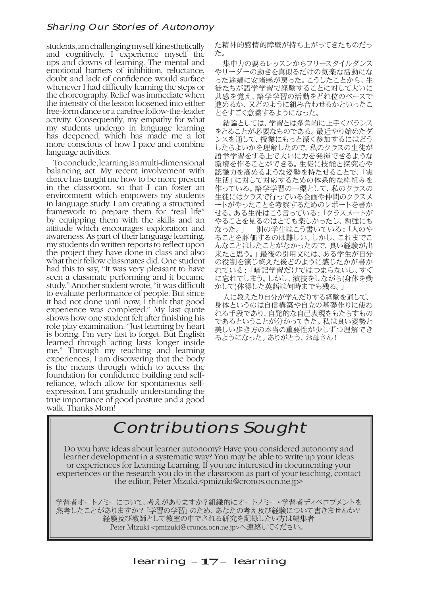## Sharing Our Stories of Autonomy

students, am challenging myself kinesthetically and cognitively. I experience myself the ups and downs of learning. The mental and emotional barriers of inhibition, reluctance, doubt and lack of confidence would surface whenever I had difficulty learning the steps or the choreography. Relief was immediate when the intensity of the lesson loosened into either free-form dance or a carefree follow-the-leader activity. Consequently, my empathy for what my students undergo in language learning has deepened, which has made me a lot more conscious of how I pace and combine language activities.

To conclude, learning is a multi-dimensional balancing act. My recent involvement with dance has taught me how to be more present in the classroom, so that I can foster an environment which empowers my students in language study. I am creating a structured framework to prepare them for "real life" by equipping them with the skills and an attitude which encourages exploration and awareness. As part of their language learning, my students do written reports to reflect upon the project they have done in class and also what their fellow classmates did. One student had this to say, "It was very pleasant to have seen a classmate performing and it became study." Another student wrote, "it was difficult to evaluate performance of people. But since it had not done until now, I think that good experience was completed." My last quote shows how one student felt after finishing his role play examination: "Just learning by heart is boring. I'm very fast to forget. But English learned through acting lasts longer inside me." Through my teaching and learning experiences, I am discovering that the body is the means through which to access the foundation for confidence building and selfreliance, which allow for spontaneous selfexpression. I am gradually understanding the true importance of good posture and a good walk. Thanks Mom!

た精神的感情的障壁が持ち上がってきたものだっ た。

集中力の要るレッスンからフリースタイルダンス やリーダーの動きを真似るだけの気楽な活動にな った途端に安堵感が戻った。こうしたことから、生 徒たちが語学学習で経験することに対して大いに 共感を覚え、語学学習の活動をどれ位のペースで 進めるか、又どのように組み合わせるかといったこ とをすごく意識するようになった。

結論としては、学習とは多角的に上手くバランス をとることが必要なものである。最近やり始めたダ ンスを通して、授業にもっと深く参加するにはどう したらよいかを理解したので、私のクラスの生徒が 語学学習をする上で大いに力を発揮できるような 環境を作ることができる。生徒に技能と探究心や 認識力を高めるような姿勢を持たせることで、「実 生活」に対して対応するための体系的な枠組みを 作っている。語学学習の一環として、私のクラスの 生徒にはクラスで行っている企画や仲間のクラスメ ートがやったことを考察するためのレポートを書か せる。ある生徒はこう言っている:「クラスメートが やることを見るのはとても楽しかったし、勉強にも なった。」 別の学生はこう書いている:「人のや ることを評価するのは難しい。しかし、これまでこ 。こここ計 || 』う。いは、こい。。。。。。。 こいこくこ 来たと思う。」最後の引用文には、ある学生が自分 の役割を演じ終えた後どのように感じたかが書か れている:「暗記学習だけではつまらないし、すぐ に忘れてしまう。しかし、演技をしながら(身体を動 かして)体得した英語は何時までも残る。」

人に教えたり自分が学んだりする経験を通して、 身体というのは自信構築や自立の基礎作りに使わ れる手段であり、自発的な自己表現をもたらすもの であるということが分かってきた。私は良い姿勢と 美しい歩き方の本当の重要性が少しずつ理解でき るようになった。ありがとう、お母さん!

# Contributions Sought

Do you have ideas about learner autonomy? Have you considered autonomy and learner development in a systematic way? You may be able to write up your ideas or experiences for Learning Learning. If you are interested in documenting your experiences or the research you do in the classroom as part of your teaching, contact the editor, Peter Mizuki.<pmizuki@cronos.ocn.ne.jp>

学習者オートノミーについて、考えがありますか?組織的にオートノミー・学習者ディベロプメントを 熟考したことがありますか?「学習の学習」のため、あなたの考え及び経験について書きませんか? 経験及び教師として教室の中でされる研究を記録したい方は編集者 Peter Mizuki <pmizuki@cronos.ocn.ne.jp>へ連絡してください。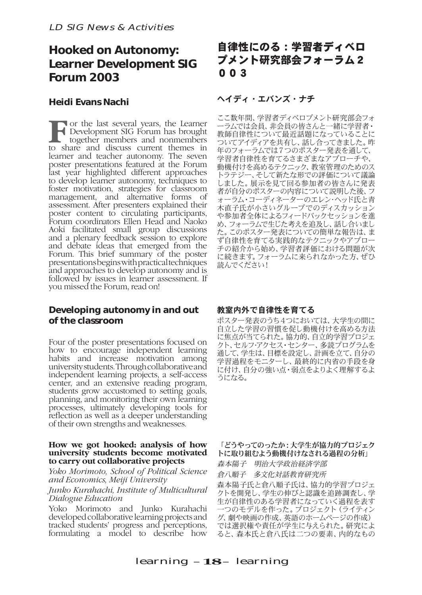# **Hooked on Autonomy: Learner Development SIG Forum 2003**

## **Heidi Evans Nachi**

**F** or the last several years, the Learner<br>together members and nonmembers<br>to share and discuss current themes in Development SIG Forum has brought together members and nonmembers to share and discuss current themes in learner and teacher autonomy. The seven poster presentations featured at the Forum last year highlighted different approaches to develop learner autonomy, techniques to foster motivation, strategies for classroom management, and alternative forms of assessment. After presenters explained their poster content to circulating participants, Forum coordinators Ellen Head and Naoko Aoki facilitated small group discussions and a plenary feedback session to explore and debate ideas that emerged from the Forum. This brief summary of the poster presentations begins with practical techniques and approaches to develop autonomy and is followed by issues in learner assessment. If you missed the Forum, read on!

# **Developing autonomy in and out of the classroom**

Four of the poster presentations focused on how to encourage independent learning habits and increase motivation among university students. Through collaborative and independent learning projects, a self-access center, and an extensive reading program, students grow accustomed to setting goals, planning, and monitoring their own learning processes, ultimately developing tools for reflection as well as a deeper understanding of their own strengths and weaknesses.

#### **How we got hooked: analysis of how university students become motivated to carry out collaborative projects**

*Yoko Morimoto, School of Political Science and Economics, Meiji University*

*Junko Kurahachi, Institute of Multicultural Dialogue Education*

Yoko Morimoto and Junko Kurahachi developed collaborative learning projects and tracked students' progress and perceptions, formulating a model to describe how

# 自律性にのる:学習者ディベロ プメント研究部会フォーラム2 003

# ヘイディ・エバンズ・ナチ

ここ数年間、学習者ディベロプメント研究部会フォ ーラムでは会員、非会員の皆さんと一緒に学習者・ 教師自律性について最近話題になっていることに ついてアイディアを共有し、話し合ってきました。昨 年のフォーラムでは7つのポスター発表を通して、 学習者自律性を育てるさまざまなアプローチや、 動機付けを高めるテクニック、教室管理のためのス トラテジー、そして新たな形での評価について議論 しました。展示を見て回る参加者の皆さんに発表 者が自分のポスターの内容について説明した後、フ ォーラム・コーディネーターのエレン・ヘッド氏と青 木直子氏が小さいグループでのディスカッション や参加者全体によるフィードバックセッションを進 め、フォーラムで生じた考えを追及し、話し合いまし た。このポスター発表についての簡単な報告は、ま ず自律性を育てる実践的なテクニックやアプロー チの紹介から始め、学習者評価における問題が次 に続きます。フォーラムに来られなかった方、ぜひ 読んでください!

## 教室内外で自律性を育てる

ポスター発表のうち4つにおいては、大学生の間に 自立した学習の習慣を促し動機付けを高める方法 に焦点が当てられた。協力的、自立的学習プロジェ クト、セルフ・アクセス・センター、多読プログラムを 通して、学生は、目標を設定し、計画を立て、自分の 学習過程をモニターし、最終的に内省の手段を身 に付け、自分の強い点・弱点をよりよく理解するよ うになる。

#### 「どうやってのったか:大学生が協力的プロジェク トに取り組むよう動機付けなされる過程の分析」

森本陽子 明治大学政治経済学部

倉八順子 多文化対話教育研究所

森本陽子氏と倉八順子氏は、協力的学習プロジェ クトを開発し、学生の伸びと認識を追跡調査し、学 生が自律性のある学習者になっていく過程を表す 一つのモデルを作った。プロジェクト(ライティン グ、劇や映画の作成、英語のホームページの作成) では選択権や責任が学生に与えられた。研究によ ると、森本氏と倉八氏は二つの要素、内的なもの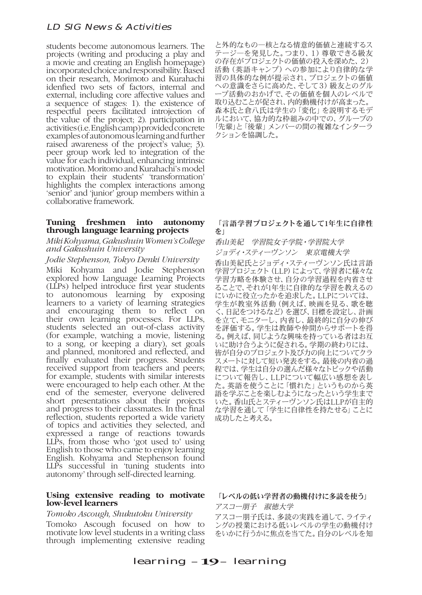students become autonomous learners. The projects (writing and producing a play and a movie and creating an English homepage) incorporated choice and responsibility. Based on their research, Morimoto and Kurahachi idenfied two sets of factors, internal and external, including core affective values and a sequence of stages: 1). the existence of respectful peers facilitated introjection of the value of the project; 2). participation in activities (i.e. English camp) provided concrete examples of autonomous learning and further raised awareness of the project's value; 3). peer group work led to integration of the value for each individual, enhancing intrinsic motivation. Moritomo and Kurahachi's model to explain their students' 'transformation' highlights the complex interactions among 'senior' and 'junior' group members within a collaborative framework.

#### **Tuning freshmen into autonomy through language learning projects**

#### *Miki Kohyama, Gakushuin Women's College and Gakushuin University*

#### *Jodie Stephenson, Tokyo Denki University*

Miki Kohyama and Jodie Stephenson explored how Language Learning Projects (LLPs) helped introduce first year students to autonomous learning by exposing learners to a variety of learning strategies and encouraging them to reflect on their own learning processes. For LLPs, students selected an out-of-class activity (for example, watching a movie, listening to a song, or keeping a diary), set goals and planned, monitored and reflected, and finally evaluated their progress. Students received support from teachers and peers; for example, students with similar interests were encouraged to help each other. At the end of the semester, everyone delivered short presentations about their projects and progress to their classmates. In the final reflection, students reported a wide variety of topics and activities they selected, and expressed a range of reactions towards LLPs, from those who 'got used to' using English to those who came to enjoy learning English. Kohyama and Stephenson found LLPs successful in 'tuning students into autonomy' through self-directed learning.

#### **Using extensive reading to motivate low-level learners**

#### *Tomoko Ascough, Shukutoku University*

Tomoko Ascough focused on how to motivate low level students in a writing class through implementing extensive reading

と外的なもの―核となる情意的価値と連続するス テージ―を発見した。つまり、1)尊敬できる級友 の存在がプロジェクトの価値の投入を深めた、2) 活動(英語キャンプ)への参加により自律的な学 習の具体的な例が提示され、プロジェクトの価値 への意識をさらに高めた、そして3)級友とのグル ープ活動のおかげで、その価値を個人のレベルで 取り込むことが促され、内的動機付けが高まった。 森本氏と倉八氏は学生の「変化」を説明するモデ ルにおいて、協力的な枠組みの中での、グループの 「先輩」と「後輩」 メンバーの間の複雑なインターラ クションを協調した。

#### 「言語学習プロジェクトを通して1年生に自律性 を」

香山美紀 学習院女子学院・学習院大学

ジョディ・スティーヴンソン 東京電機大学 香山美紀氏とジョディ・スティーヴンソン氏は言語 学習プロジェクト (LLP) によって、学習者に様々な 学習方略を体験させ、自分の学習過程を内省させ ることで、それが1年生に自律的な学習を教えるの にいかに役立ったかを追求した。LLPについては、 学生が教室外活動(例えば、映画を見る、歌を聴 く、日記をつけるなど)を選び、目標を設定し、計画 を立て、モニターし、内省し、最終的に自分の伸び を評価する。学生は教師や仲間からサポートを得 る。例えば、同じような興味を持っている者はお互 いに助け合うように促される。学期の終わりには、 皆が自分のプロジェクト及び力の向上についてクラ スメートに対して短い発表をする。最後の内省の過 程では、学生は自分の選んだ様々なトピックや活動 について報告し、LLPについて幅広い感想を表し た。英語を使うことに「慣れた」というものから英 語を学ぶことを楽しむようになったという学生まで いた。香山氏とスティーヴンソン氏はLLPが自主的 な学習を通して「学生に自律性を持たせる」ことに 成功したと考える。

#### 「レベルの低い学習者の動機付けに多読を使う」

アスコー朋子 淑徳大学

アスコー朋子氏は、多読の実践を通して、ライティ ングの授業における低いレベルの学生の動機付け をいかに行うかに焦点を当てた。自分のレベルを知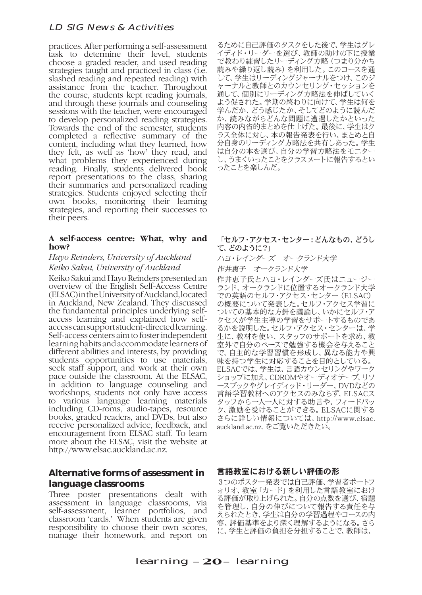practices. After performing a self-assessment task to determine their level, students choose a graded reader, and used reading strategies taught and practiced in class (i.e. slashed reading and repeated reading) with assistance from the teacher. Throughout the course, students kept reading journals, and through these journals and counseling sessions with the teacher, were encouraged to develop personalized reading strategies. Towards the end of the semester, students completed a reflective summary of the content, including what they learned, how they felt, as well as 'how' they read, and what problems they experienced during reading. Finally, students delivered book report presentations to the class, sharing their summaries and personalized reading strategies. Students enjoyed selecting their own books, monitoring their learning strategies, and reporting their successes to their peers.

#### **A self-access centre: What, why and how?**

#### *Hayo Reinders, University of Auckland Keiko Sakui, University of Auckland*

Keiko Sakui and Hayo Reinders presented an overview of the English Self-Access Centre (ELSAC) in the University of Auckland, located in Auckland, New Zealand. They discussed the fundamental principles underlying selfaccess learning and explained how selfaccess can support student-directed learning. Self-access centers aim to foster independent learning habits and accommodate learners of different abilities and interests, by providing students opportunities to use materials, seek staff support, and work at their own pace outside the classroom. At the ELSAC, in addition to language counseling and workshops, students not only have access to various language learning materials including CD-roms, audio-tapes, resource books, graded readers, and DVDs, but also receive personalized advice, feedback, and encouragement from ELSAC staff. To learn more about the ELSAC, visit the website at http://www.elsac.auckland.ac.nz.

## **Alternative forms of assessment in language classrooms**

Three poster presentations dealt with assessment in language classrooms, via self-assessment, learner portfolios, and classroom 'cards.' When students are given responsibility to choose their own scores, manage their homework, and report on

るために自己評価のタスクをした後で、学生はグレ イディド・リーダーを選び、教師の助けの下に授業 で教わり練習したリーディング方略(つまり分かち 読みや繰り返し読み)を利用した。このコースを通 して、学生はリーディングジャーナルをつけ、このジ ャーナルと教師とのカウンセリング・セッションを 通して、個別にリーディング方略法を伸ばしていく よう促された。学期の終わりに向けて、学生は何を 。<br>学んだか、どう感じたか、そしてどのように読んだ か、読みながらどんな問題に遭遇したかといった 内容の内省的まとめを仕上げた。最後に、学生はク ラス全体に対し、本の報告発表を行い、まとめと自 分自身のリーディング方略法を共有しあった。学生 は自分の本を選び、自分の学習方略法をモニター し、うまくいったことをクラスメートに報告するとい ったことを楽しんだ。

#### 「セルフ・アクセス・センター:どんなもの、どうし て、どのように?」

ハヨ・レインダーズ オークランド大学

作井恵子 オークランド大学

作井恵子氏とハヨ・レインダーズ氏はニュージー ランド、オークランドに位置するオークランド大学 での英語のセルフ・アクセス・センター(ELSAC) の概要について発表した。セルフ・アクセス学習に ついての基本的な方針を議論し、いかにセルフ・ア クセスが学生主導の学習をサポートするものであ るかを説明した。セルフ・アクセス・センターは、学 生に、教材を使い、スタッフのサポートを求め、教 室外で自分のペースで勉強する機会を与えること で、自主的な学習習慣を形成し、異なる能力や興 味を持つ学生に対応することを目的としている。 ELSACでは、学生は、言語カウンセリングやワーク ショップに加え、CDROMやオーディオテープ、リソ ースブックやグレイディッド・リーダー、DVDなどの 言語学習教材へのアクセスのみならず、ELSACス タッフから一人一人に対する助言や、フィードバッ ク、激励を受けることができる。ELSACに関する さらに詳しい情報については、http://www.elsac. auckland.ac.nz. をご覧いただきたい。

#### 言語教室における新しい評価の形

3つのポスター発表では自己評価、学習者ポートフ ォリオ、教室「カード」を利用した言語教室におけ る評価が取り上げられた。自分の点数を選び、宿題 を管理し、自分の伸びについて報告する責任を与 えられたとき、学生は自分の学習過程やコースの内 容、評価基準をより深く理解するようになる。さら に、学生と評価の負担を分担することで、教師は、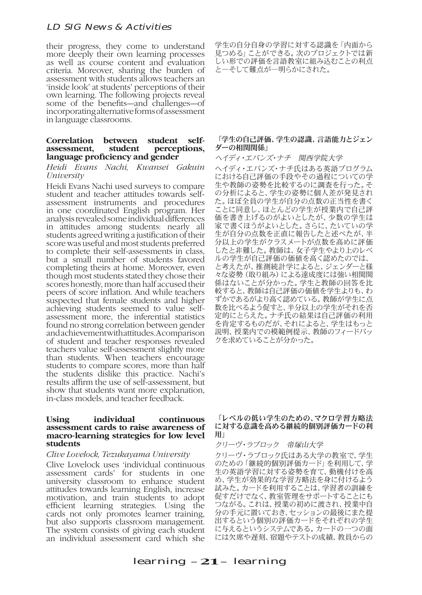their progress, they come to understand more deeply their own learning processes as well as course content and evaluation criteria. Moreover, sharing the burden of assessment with students allows teachers an 'inside look' at students' perceptions of their own learning. The following projects reveal some of the benefits—and challenges—of incorporating alternative forms of assessment in language classrooms.

#### **Correlation between student self** $perceptions,$ **language proficiency and gender**

*Heidi Evans Nachi, Kwansei Gakuin University*

Heidi Evans Nachi used surveys to compare student and teacher attitudes towards selfassessment instruments and procedures in one coordinated English program. Her analysis revealed some individual differences in attitudes among students: nearly all students agreed writing a justification of their score was useful and most students preferred to complete their self-assessments in class, but a small number of students favored completing theirs at home. Moreover, even though most students stated they chose their scores honestly, more than half accused their peers of score inflation. And while teachers suspected that female students and higher achieving students seemed to value selfassessment more, the inferential statistics found no strong correlation between gender and achievement with attitudes. A comparison of student and teacher responses revealed teachers value self-assessment slightly more than students. When teachers encourage students to compare scores, more than half the students dislike this practice. Nachi's results affirm the use of self-assessment, but show that students want more explanation, in-class models, and teacher feedback.

#### **Using individual continuous assessment cards to raise awareness of macro-learning strategies for low level students**

#### *Clive Lovelock, Tezukayama University*

Clive Lovelock uses 'individual continuous assessment cards' for students in one university classroom to enhance student attitudes towards learning English, increase motivation, and train students to adopt efficient learning strategies. Using the cards not only promotes learner training, but also supports classroom management. The system consists of giving each student an individual assessment card which she

学生の自分自身の学習に対する認識を「内面から 見つめる」ことができる。次のプロジェクトでは新 しい形での評価を言語教室に組み込むことの利点 と―そして難点が―明らかにされた。

#### 「学生の自己評価、学生の認識、言語能力とジェン ダーの相関関係」

ヘイディ・エバンズ・ナチ 関西学院大学

ヘイディ・エバンズ・ナチ氏はある英語プログラム における自己評価の手段やその過程についての学 生や教師の姿勢を比較するのに調査を行った。そ の分析によると、学生の姿勢に個人差が発見され た。ほぼ全員の学生が自分の点数の正当性を書く ことに同意し、ほとんどの学生が授業内で自己評 価を書き上げるのがよいとしたが、少数の学生は 家で書くほうがよいとした。さらに、たいていの学 生が自分の点数を正直に報告したと述べたが、半 分以上の学生がクラスメートが点数を高めに評価 したと非難した。教師は、女子学生やより上のレベ ルの学生が自己評価の価値を高く認めたのでは、 と考えたが、推測統計学によると、ジェンダーと様 々な姿勢(取り組み)による達成度には強い相関関 係はないことが分かった。学生と教師の回答を比 較すると、教師は自己評価の価値を学生よりも、わ ずかであるがより高く認めている。教師が学生に点 数を比べるよう促すと、半分以上の学生がそれを否 定的にとらえた。ナチ氏の結果は自己評価の利用 を肯定するものだが、それによると、学生はもっと 説明、授業内での模範例提示、教師のフィードバッ クを求めていることが分かった。

#### 「レベルの低い学生のための、マクロ学習方略法 に対する意識を高める継続的個別評価カードの利 用」

クリーヴ・ラブロック 帝塚山大学

クリーヴ・ラブロック氏はある大学の教室で、学生 のための「継続的個別評価カード」を利用して、学 生の英語学習に対する姿勢を育て、動機付けを高 め、学生が効果的な学習方略法を身に付けるよう 試みた。カードを利用することは、学習者の訓練を 促すだけでなく、教室管理をサポートすることにも つながる。これは、授業の初めに渡され、授業中自 分の手元に置いておき、セッションの最後にまた提 出するという個別の評価カードをそれぞれの学生 に与えるというシステムである。カードの一つの面 には欠席や遅刻、宿題やテストの成績、教員からの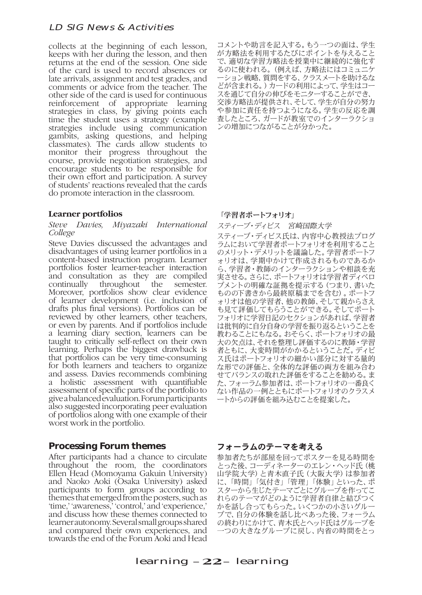collects at the beginning of each lesson, keeps with her during the lesson, and then returns at the end of the session. One side of the card is used to record absences or late arrivals, assignment and test grades, and comments or advice from the teacher. The other side of the card is used for continuous reinforcement of appropriate learning strategies in class, by giving points each time the student uses a strategy (example strategies include using communication gambits, asking questions, and helping classmates). The cards allow students to monitor their progress throughout the course, provide negotiation strategies, and encourage students to be responsible for their own effort and participation. A survey of students' reactions revealed that the cards do promote interaction in the classroom.

#### **Learner portfolios**

#### *Steve Davies, Miyazaki International College*

Steve Davies discussed the advantages and disadvantages of using learner portfolios in a content-based instruction program. Learner portfolios foster learner-teacher interaction and consultation as they are compiled continually throughout the semester. Moreover, portfolios show clear evidence of learner development (i.e. inclusion of drafts plus final versions). Portfolios can be reviewed by other learners, other teachers, or even by parents. And if portfolios include a learning diary section, learners can be taught to critically self-reflect on their own learning. Perhaps the biggest drawback is that portfolios can be very time-consuming for both learners and teachers to organize and assess. Davies recommends combining a holistic assessment with quantifiable assessment of specific parts of the portfolio to give a balanced evaluation. Forum participants also suggested incorporating peer evaluation of portfolios along with one example of their worst work in the portfolio.

## **Processing Forum themes**

After participants had a chance to circulate throughout the room, the coordinators Ellen Head (Momoyama Gakuin University) and Naoko Aoki (Osaka University) asked participants to form groups according to themes that emerged from the posters, such as 'time,' 'awareness,' 'control,' and 'experience,' and discuss how these themes connected to learner autonomy. Several small groups shared and compared their own experiences, and towards the end of the Forum Aoki and Head

コメントや助言を記入する。もう一つの面は、学生 が方略法を利用するたびにポイントを与えること で、適切な学習方略法を授業中に継続的に強化す るのに使われる。(例えば、方略法にはコミュニケ ーション戦略、質問をする、クラスメートを助けるな どが含まれる。)カードの利用によって、学生はコー スを通じて自分の伸びをモニターすることができ、 交渉方略法が提供され、そして、学生が自分の努力 や参加に責任を持つようになる。学生の反応を調 査したところ、ガードが教室でのインターラクショ ンの増加につながることが分かった。

#### 「学習者ポートフォリオ」

スティーブ・ディビス 宮崎国際大学

スティーブ・ディビス氏は、内容中心教授法プログ ラムにおいて学習者ポートフォリオを利用すること のメリット・デメリットを議論した。学習者ポートフ ォリオは、学期中かけて作成されるものであるか ら、学習者・教師のインターラクションや相談を充 実させる。さらに、ポートフォリオは学習者ディベロ プメントの明確な証拠を提示する(つまり、書いた ものの下書きから最終原稿までを含む)。ポートフ ォリオは他の学習者、他の教師、そして親からさえ も見て評価してもらうことができる。そしてポート フォリオに学習日記のセクションがあれば、学習者 は批判的に自分自身の学習を振り返るということを 教わることにもなる。おそらく、ポートフォリオの最 大の欠点は、それを整理し評価するのに教師・学習 者ともに、大変時間がかかるということだ。ディビ ス氏はポートフォリオの細かい部分に対する量的 な形での評価と、全体的な評価の両方を組み合わ せてバランスの取れた評価をすることを勧める。ま た、フォーラム参加者は、ポートフォリオの一番良く ない作品の一例とともにポートフォリオのクラスメ ートからの評価を組み込むことを提案した。

## フォーラムのテーマを考える

参加者たちが部屋を回ってポスターを見る時間を とった後、コーディネーターのエレン・ヘッド氏(桃 山学院大学)と青木直子氏(大阪大学)は参加者 に、「時間」「気付き」「管理」「体験」といった、ポ スターから生じたテーマごとにグループを作ってこ れらのテーマがどのように学習者自律と結びつく かを話し合ってもらった。いくつかの小さいグルー プで、自分の体験を話し比べあった後、フォーラム の終わりにかけて、青木氏とヘッド氏はグループを 一つの大きなグループに戻し、内省の時間をとっ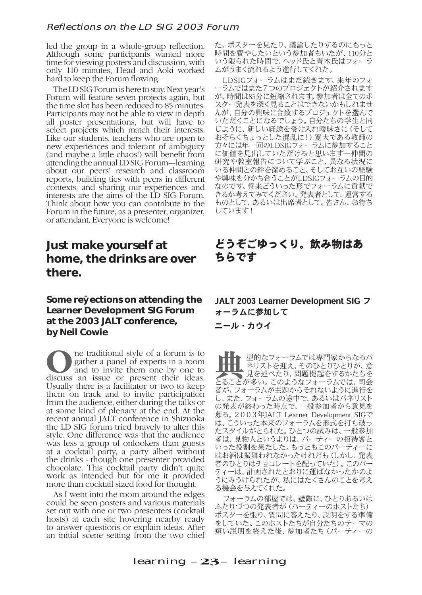### Reflections on the LD SIG 2003 Forum

led the group in a whole-group reflection. Although some participants wanted more time for viewing posters and discussion, with only 110 minutes, Head and Aoki worked hard to keep the Forum flowing.

The LD SIG Forum is here to stay. Next year's Forum will feature seven projects again, but the time slot has been reduced to 85 minutes. Participants may not be able to view in depth all poster presentations, but will have to select projects which match their interests. Like our students, teachers who are open to new experiences and tolerant of ambiguity (and maybe a little chaos!) will benefit from attending the annual LD SIG Forum—learning about our peers' research and classroom reports, building ties with peers in different contexts, and sharing our experiences and interests are the aims of the LD SIG Forum. Think about how you can contribute to the Forum in the future, as a presenter, organizer, or attendant. Everyone is welcome!

# **Just make yourself at home, the drinks are over there.**

# **Some ref ections on attending the Learner Development SIG Forum at the 2003 JALT conference, by Neil Cowie**

ne traditional style of a forum is to<br>gather a panel of experts in a room<br>and to invite them one by one to gather a panel of experts in a room discuss an issue or present their ideas. Usually there is a facilitator or two to keep them on track and to invite participation from the audience, either during the talks or at some kind of plenary at the end. At the recent annual JALT conference in Shizuoka the LD SIG forum tried bravely to alter this style. One difference was that the audience was less a group of onlookers than guests at a cocktail party, a party albeit without the drinks - though one presenter provided chocolate. This cocktail party didn't quite work as intended but for me it provided more than cocktail sized food for thought.

As I went into the room around the edges could be seen posters and various materials set out with one or two presenters (cocktail hosts) at each site hovering nearby ready to answer questions or explain ideas. After an initial scene setting from the two chief

た。ポスターを見たり、議論したりするのにもっと 時間を費やしたいという参加者もいたが、110分と いう限られた時間で、ヘッド氏と青木氏はフォーラ ムがうまく流れるよう進行してくれた。

LDSIGフォーラムはまだ続きます。来年のフォ ーラムではまた7つのプロジェクトが紹介されます が、時間は85分に短縮されます。参加者は全てのポ スター発表を深く見ることはできないかもしれませ んが、自分の興味に合致するプロジェクトを選んで いただくことになるでしょう。自分たちの学生と同 じように、新しい経験を受け入れ曖昧さに(そして おそらくちょっとした混乱に!)寛大である教師の 方々には年一回のLDSIGフォーラムに参加すること に価値を見出していただけると思います―仲間の 研究や教室報告について学ぶこと、異なる状況に いる仲間との絆を深めること、そしてお互いの経験 や興味を分かち合うことがLDSIGフォーラムの目的 なのです。将来どういった形でフォーラムに貢献で きるか考えてみてください。発表者として、運営する ものとして、あるいは出席者として。皆さん、お待ち しています!

# どうぞごゆっくり。飲み物はあ ちらです

JALT 2003 Learner Development SIG フ ォーラムに参加して

ニール・カウイ

典型的なフォーラムでは専門家からなるパ 見を述べたり、問題提起をするかたちを ネリストを迎え、そのひとりひとりが、意 とることが多い。このようなフォーラムでは、司会 者が、フォーラムが主題からそれないように進行を し、また、フォーラムの途中で、あるいはパネリスト の発表が終わった時点で、一般参加者から意見を 募る。2003年JALT Learner Development SIGで は、こういった本来のフォーラムを形式を打ち破っ たスタイルがとられた。ひとつの試みは、一般参加 者は、見物人というよりは、パーティーの招待客と いった役割を果たした。もっともこのパーティーに はお酒は振舞われなかったけれども(しかし、発表 者のひとりはチョコレートを配っていた)。このパー ティーは、計画されたとおりに運ばなかったかのよ うにみうけられたが、私にはたくさんのことを考え る機会を与えてくれた。

フォーラムの部屋では、壁際に、ひとりあるいは ふたりづつの発表者が(パーティーのホストたち) ポスターを張り、質問に答えたり、説明をする準備 をしていた。このホストたちが自分たちのテーマの 短い説明を終えた後、参加者たち(パーティーの

learning  $-23$ – learning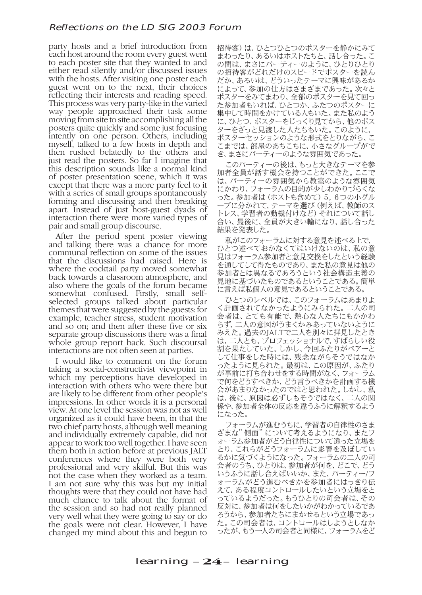#### Reflections on the LD SIG 2003 Forum

party hosts and a brief introduction from each host around the room every guest went to each poster site that they wanted to and either read silently and/or discussed issues with the hosts. After visiting one poster each guest went on to the next, their choices reflecting their interests and reading speed. This process was very party-like in the varied way people approached their task some moving from site to site accomplishing all the posters quite quickly and some just focusing intently on one person. Others, including myself, talked to a few hosts in depth and then rushed belatedly to the others and just read the posters. So far I imagine that this description sounds like a normal kind of poster presentation scene, which it was except that there was a more party feel to it with a series of small groups spontaneously forming and discussing and then breaking apart. Instead of just host-guest dyads of interaction there were more varied types of pair and small group discourse.

After the period spent poster viewing and talking there was a chance for more communal reflection on some of the issues that the discussions had raised. Here is where the cocktail party moved somewhat back towards a classroom atmosphere, and also where the goals of the forum became somewhat confused. Firstly, small selfselected groups talked about particular themes that were suggested by the guests: for example, teacher stress, student motivation and so on; and then after these five or six separate group discussions there was a final whole group report back. Such discoursal interactions are not often seen at parties.

I would like to comment on the forum taking a social-constructivist viewpoint in which my perceptions have developed in interaction with others who were there but are likely to be different from other people's impressions. In other words it is a personal view. At one level the session was not as well organized as it could have been, in that the two chief party hosts, although well meaning and individually extremely capable, did not appear to work too well together. I have seen them both in action before at previous JALT conferences where they were both very professional and very skilful. But this was not the case when they worked as a team. I am not sure why this was but my initial thoughts were that they could not have had much chance to talk about the format of the session and so had not really planned very well what they were going to say or do the goals were not clear. However, I have changed my mind about this and begun to

招待客)は、ひとつひとつのポスターを静かにみて まわったり、あるいはホストたちと、話し合った。こ の間は、まさにパーティーのように、ひとりひとり の招待客がどれだけのスピードでポスターを読ん だか、あるいは、どういったテーマに興味があるか によって、参加の仕方はさまざまであった。次々と ポスターをみてまわり、全部のポスターを見て回っ た参加者もいれば、ひとつか、ふたつのポスターに 集中して時間をかけている人もいた。また私のよう に、ひとつ、ポスターをじっくり見てから、他のポス ターをざっと見渡した人たちもいた。このように、 ポスターセッションのような形式をとりながら、こ こまでは、部屋のあちこちに、小さなグループがで き、まさにパーティーのような雰囲気であった。

このパーティーの後は、もっと大きなテーマを参 加者全員が話す機会を持つことができた。ここで は、パーティーの雰囲気から教室のような雰囲気 にかわり、フォーラムの目的が少しわかりづらくな った。参加者は(ホストも含めて)5,6つの小グル ープに分かれて、テーマを選び(例えば、教師のス トレス、学習者の動機付けなど)それについて話し 合い、最後に、全員が大きい輪になり、話し合った 結果を発表した。

私がこのフォーラムに対する意見を述べる上で、 ひとつ述べておかなくてはいけないのは、私の意 見はフォーラム参加者と意見交換をしたという経験 を通してして得たものであり、また私の意見は他の 参加者とは異なるであろうという社会構造主義の 見地に基づいたものであるということである。簡単 に言えば私個人の意見であるということである。

ひとつのレベルでは、このフォーラムはあまりよ く計画されてなかったようにみられた。二人の司 会者は、とても有能で、熱心な人たちにもかかわ らず、二人の意図がうまくかみあっていないように みえた。過去のJALTで二人を別々に拝見したとき は、二人とも、プロフェッショナルで、すばらしい役 割を果たしていた。しかし、今回ふたりがペアーと して仕事をした時には、残念ながらそうではなか ったように見られた。最初は、この原因が、ふたり が事前に打ち合わせをする時間がなく、フォーラム で何をどうすべきか、どう言うべきかを計画する機 会があまりなかったのではと思われた。しかし、私 は、後に、原因は必ずしもそうではなく、二人の関 係や、参加者全体の反応を違うふうに解釈するよう になった。

フォーラムが進むうちに、学習者の自律性のさま ざまな"側面"について考えるようになり、またフ ォーラム参加者がどう自律性について違った立場を とり、これらがどうフォーラムに影響を及ぼしてい るかに気づくようになった。フォーラムの二人の司 会者のうち、ひとりは、参加者が何を、どこで、どう いうふうに話し合えばいいか、また、パーティー/フ ォーラムがどう進むべきかを参加者にはっきり伝 えて、ある程度コントロールしたいという立場をと っているようだった。もうひとりの司会者は、その 反対に、参加者は何をしたいかがわかっているであ ろうから、参加者たちにまかせるという立場であっ た。この司会者は、コントロールはしようとしなか ったが、もう一人の司会者と同様に、フォーラムをど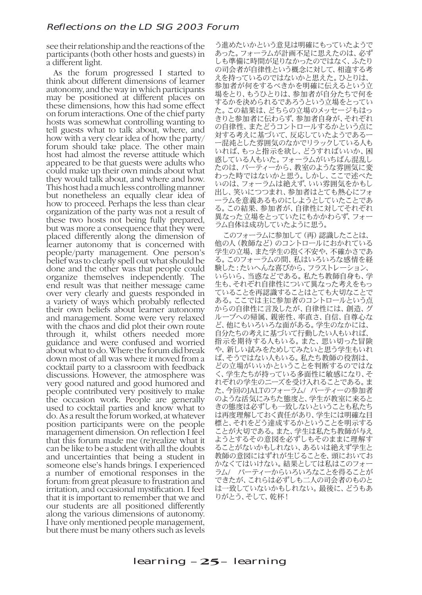see their relationship and the reactions of the participants (both other hosts and guests) in a different light.

As the forum progressed I started to think about different dimensions of learner autonomy, and the way in which participants may be positioned at different places on these dimensions, how this had some effect on forum interactions. One of the chief party hosts was somewhat controlling wanting to tell guests what to talk about, where, and how with a very clear idea of how the party/ forum should take place. The other main host had almost the reverse attitude which appeared to be that guests were adults who could make up their own minds about what they would talk about, and where and how. This host had a much less controlling manner but nonetheless an equally clear idea of how to proceed. Perhaps the less than clear organization of the party was not a result of these two hosts not being fully prepared, but was more a consequence that they were placed differently along the dimension of learner autonomy that is concerned with people/party management. One person's belief was to clearly spell out what should be done and the other was that people could organize themselves independently. The end result was that neither message came over very clearly and guests responded in a variety of ways which probably reflected their own beliefs about learner autonomy and management. Some were very relaxed with the chaos and did plot their own route through it, whilst others needed more guidance and were confused and worried about what to do. Where the forum did break down most of all was where it moved from a cocktail party to a classroom with feedback discussions. However, the atmosphere was very good natured and good humored and people contributed very positively to make the occasion work. People are generally used to cocktail parties and know what to do. As a result the forum worked, at whatever position participants were on the people management dimension. On reflection I feel that this forum made me (re)realize what it can be like to be a student with all the doubts and uncertainties that being a student in someone else's hands brings. I experienced a number of emotional responses in the forum: from great pleasure to frustration and irritation, and occasional mystification. I feel that it is important to remember that we and our students are all positioned differently along the various dimensions of autonomy. I have only mentioned people management, but there must be many others such as levels

う進めたいかという意見は明確にもっていたようで あった。フォーラムが計画不足に思えたのは、必ず しも準備に時間が足りなかったのではなく、ふたり の司会者が自律性という概念に対して、相違する考 えを持っているのではないかと思えた。ひとりは、 参加者が何をするべきかを明確に伝えるという立 場をとり、もうひとりは、参加者が自分たちで何を するかを決められるであろうという立場をとってい た。この結果は、どちらの立場のメッセージもはっ きりと参加者に伝わらず、参加者自身が、それぞれ の自律性、またどうコントロールするかという点に 対する考えに基づいて、反応していたようであるー ー混沌とした雰囲気のなかでリラックしている人も いれば、もっと指示を欲し、どうすればいいか、困 惑している人もいた。フォーラムがいちばん混乱し たのは、パーティーから、教室のような雰囲気に変 わった時ではないかと思う。しかし、ここで述べた いのは、フォーラムは絶えず、いい雰囲気をかもし 出し、笑いにつつまれ、参加者はとても熱心にフォ ーラムを意義あるものにしようとしていたことであ る。この結果、参加者が、自律性に対してそれぞれ 異なった立場をとっていたにもかかわらず、フォー ラム自体は成功していたように思う。

このフォーラムに参加して(再)認識したことは、 他の人(教師など)のコントロールにおかれている 学生の立場、また学生の抱く不安や、不確かさであ る。このフォーラムの間、私はいろいろな感情を経 験した:たいへんな喜びから、フラストレーション、 いらいら、当惑などである。私たち教師自身も、学 生も、それぞれ自律性について異なった考えをもっ ていることを再認識することはとても大切なことで ある。ここでは主に参加者のコントロールという点 からの自律性に言及したが、自律性には、創造、グ ループへの帰属、親密性、率直さ、自信、自尊心な ど、他にもいろいろな面がある。学生のなかには、 自分たちの考えに基づいて行動したい人もいれば、 指示を期待する人もいる。また、思い切った冒険 や、新しい試みをためしてみたいと思う学生もいれ ば、そうではない人もいる。私たち教師の役割は、 どの立場がいいかということを判断するのではな く、学生たちが持っている多面性に敏感になり、そ れぞれの学生のニーズを受け入れることである。ま た、今回のJALTのフォーラム/ パーティーの参加者 のような活気にみちた態度と、学生が教室に来ると きの態度は必ずしも一致しないということも私たち は再度理解しておく責任があり、学生には明確な目 標と、それをどう達成するかということを明示する ことが大切である。また、学生は私たち教師が与え ようとするその意図を必ずしもそのままに理解す ることがないかもしれない、あるいは絶えず学生と 教師の意図にはずれが生じることを、頭においてお かなくてはいけない。結果としては私はこのフォー ラム/ パーティーからいろいろなことを得ることが できたが、これらは必ずしも二人の司会者のものと は一致していないかもしれない。最後に、どうもあ りがとう、そして、乾杯!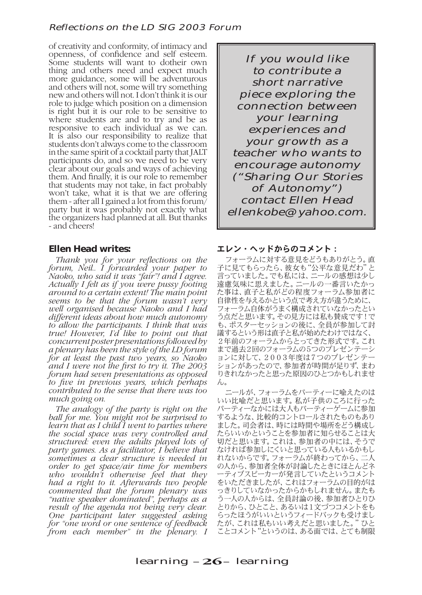#### Reflections on the LD SIG 2003 Forum

of creativity and conformity, of intimacy and openness, of confidence and self esteem. Some students will want to dotheir own thing and others need and expect much more guidance, some will be adventurous and others will not, some will try something new and others will not. I don't think it is our role to judge which position on a dimension is right but it is our role to be sensitive to where students are and to try and be as responsive to each individual as we can. It is also our responsibility to realize that students don't always come to the classroom in the same spirit of a cocktail party that JALT participants do, and so we need to be very clear about our goals and ways of achieving them. And finally, it is our role to remember that students may not take, in fact probably won't take, what it is that we are offering them - after all I gained a lot from this forum/ party but it was probably not exactly what the organizers had planned at all. But thanks - and cheers!

### **Ellen Head writes:**

*Thank you for your reflections on the forum, Neil.. I forwarded your paper to Naoko, who said it was "fair"! and I agree. Actually I felt as if you were pussy footing around to a certain extent! The main point seems to be that the forum wasn't very well organised because Naoko and I had different ideas about how much autonomy to allow the participants. I think that was true! However, I'd like to point out that concurrent poster presentations followed by a plenary has been the style of the LD forum for at least the past two years, so Naoko and I were not the first to try it. The 2003 forum had seven presentations as opposed to five in previous years, which perhaps contributed to the sense that there was too much going on.*

*The analogy of the party is right on the ball for me. You might not be surprised to learn that as I child I went to parties where the social space was very controlled and structured: even the adults played lots of party games. As a facilitator, I believe that sometimes a clear structure is needed in order to get space/air time for members who wouldn't otherwise feel that they had a right to it. Afterwards two people commented that the forum plenary was "native speaker dominated", perhaps as a result of the agenda not being very clear. One participant later suggested asking for "one word or one sentence of feedback from each member" in the plenary. I* 

If you would like to contribute a short narrative piece exploring the connection between your learning experiences and your growth as a teacher who wants to encourage autonomy ("Sharing Our Stories of Autonomy") contact Ellen Head ellenkobe@yahoo.com.

#### エレン・ヘッドからのコメント:

フォーラムに対する意見をどうもありがとう。直 子に見てもらったら、彼女も"公平な意見だわ"と 言っていました。でも私には、ニールの感想は少し 遠慮気味に思えました。ニールの一番言いたかっ た事は、直子と私がどの程度フォーラム参加者に 自律性を与えるかという点で考え方が違うために、 フォーラム自体がうまく構成されていなかったとい う点だと思います。その見方には私も賛成です!で も、ポスターセッションの後に、全員が参加して討 議するという形は直子と私が始めたわけではなく、 2年前のフォーラムからとってきた形式です。これ まで過去2回のフォーラムの5つのプレゼンテーシ ョンに対して、2003年度は7つのプレゼンテー ションがあったので、参加者が時間が足りず、まわ りきれなかったと思った原因のひとつかもしれませ ん。

ニールが、フォーラムをパーティーに喩えたのは いい比喩だと思います。私が子供のころに行った パーティーなかには大人もパーティーゲームに参加 するような、比較的コントロールされたものもあり ました。司会者は、時には時間や場所をどう構成し たらいいかということを参加者に知らせることは大 切だと思います。これは、参加者の中には、そうで なければ参加しにくいと思っている人もいるかもし れないからです。フォーラムが終わってから、二人 の人から、参加者全体が討論したときにほとんどネ ーティブスピーカーが発言していたというコメント をいただきましたが、これはフォーラムの目的がは っきりしていなかったからかもしれません。またも う一人の人からは、全員討論の後、参加者ひとりひ とりから、ひとこと、あるいは1文づつコメントをも らったほうがいいというフィードバックも受けまし たが、これは私もいい考えだと思いました。"ひと ことコメント"というのは、ある面では、とても制限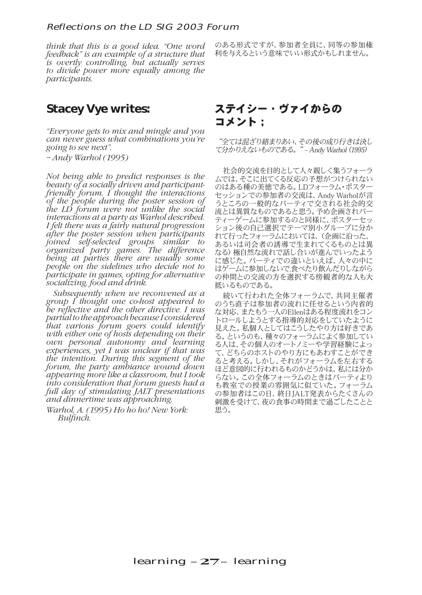#### Reflections on the LD SIG 2003 Forum

*think that this is a good idea. "One word feedback" is an example of a structure that is overtly controlling, but actually serves to divide power more equally among the participants.*

# **Stacey Vye writes:**

*"Everyone gets to mix and mingle and you can never guess what combinations you're going to see next".*

*– Andy Warhol (1995)*

*Not being able to predict responses is the beauty of a socially driven and participantfriendly forum. I thought the interactions of the people during the poster session of the LD forum were not unlike the social interactions at a party as Warhol described. I felt there was a fairly natural progression after the poster session when participants joined self-selected groups similar to organized party games. The difference being at parties there are usually some people on the sidelines who decide not to participate in games, opting for alternative socializing, food and drink.*

*Subsequently when we reconvened as a group I thought one co-host appeared to be reflective and the other directive. I was partial to the approach because I considered that various forum goers could identify with either one of hosts depending on their own personal autonomy and learning experiences, yet I was unclear if that was the intention. During this segment of the forum, the party ambiance wound down appearing more like a classroom, but I took into consideration that forum guests had a full day of stimulating JALT presentations and dinnertime was approaching.* 

*Warhol, A. (1995) Ho ho ho! New York: Bulfinch.*

のある形式ですが、参加者全員に、同等の参加権 利を与えるという意味でいい形式かもしれません。

# ステイシー・ヴァイからの コメント;

"全ては混ざり絡まりあい、その後の成り行きは決し て分かりえないものである。" – Andy Warhol(1995)

社会的交流を目的として人々親しく集うフォーラ ムでは、そこに出てくる反応の予想がつけられない のはある種の美徳である。LDフォーラム・ポスター セッションでの参加者の交流は、Andy Warholが言 うところの一般的なパーティで交される社会的交 流とは異質なものであると思う。予め企画されパー ティーゲームに参加するのと同様に、ポスターセッ ション後の自己選択でテーマ別小グループに分か れて行ったフォーラムにおいては、(企画に沿った、 あるいは司会者の誘導で生まれてくるものとは異 なる)極自然な流れで話し合いが進んでいったよう に感じた。パーティでの違いといえば、人々の中に はゲームに参加しないで,食べたり飲んだりしながら の仲間との交流の方を選択する傍観者的な人も大 抵いるものである。

続いて行われた全体フォーラムで、共同主催者 のうち直子は参加者の流れに任せるという内省的 な対応、またもう一人のEllenはある程度流れをコン トロールしようとする指導的対応をしていたように 見えた。私個人としてはこうしたやり方は好きであ る。というのも、種々のフォーラムによく参加してい る人は、その個人のオートノミーや学習経験によっ て、どちらのホストのやり方にもあわすことができ ると考える。しかし、それがフォーラムを左右する ほど意図的に行われるものかどうかは、私には分か らない。この全体フォーラムのときはパーティより も教室での授業の雰囲気に似ていた。フォーラム の参加者はこの日、終日JALT発表からたくさんの 刺激を受けて、夜の食事の時間まで過ごしたことと 思う。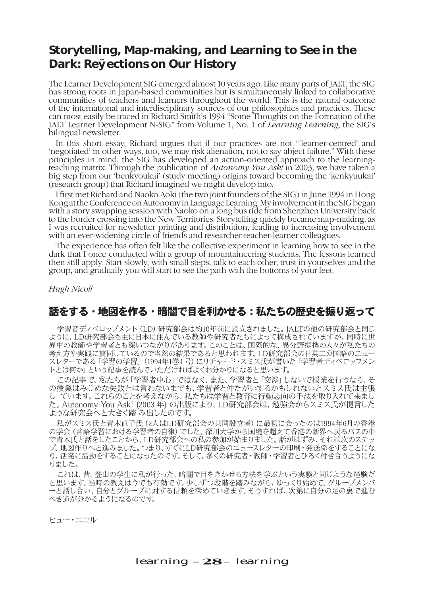# **Storytelling, Map-making, and Learning to See in the Dark: Ref ections on Our History**

The Learner Development SIG emerged almost 10 years ago. Like many parts of JALT, the SIG has strong roots in Japan-based communities but is simultaneously linked to collaborative communities of teachers and learners throughout the world. This is the natural outcome of the international and interdisciplinary sources of our philosophies and practices. These can most easily be traced in Richard Smith's 1994 "Some Thoughts on the Formation of the JALT Learner Development N-SIG" from Volume 1, No. 1 of *Learning Learning*, the SIG's bilingual newsletter.

In this short essay, Richard argues that if our practices are not "'learner-centred' and 'negotiated' in other ways, too, we may risk alienation, not to say abject failure." With these principles in mind, the SIG has developed an action-oriented approach to the learningteaching matrix. Through the publication of *Autonomy You Ask!* in 2003, we have taken a big step from our 'benkyoukai' (study meeting) origins toward becoming the 'kenkyuukai' (research group) that Richard imagined we might develop into.

I first met Richard and Naoko Aoki (the two joint founders of the SIG) in June 1994 in Hong Kong at the Conference on Autonomy in Language Learning. My involvement in the SIG began with a story swapping session with Naoko on a long bus ride from Shenzhen University back to the border crossing into the New Territories. Storytelling quickly became map-making, as I was recruited for newsletter printing and distribution, leading to increasing involvement with an ever-widening circle of friends and researcher-teacher-learner colleagues.

The experience has often felt like the collective experiment in learning how to see in the dark that I once conducted with a group of mountaineering students. The lessons learned then still apply: Start slowly, with small steps, talk to each other, trust in yourselves and the group, and gradually you will start to see the path with the bottoms of your feet.

*Hugh Nicoll*

# 話をする・地図を作る・暗闇で目を利かせる:私たちの歴史を振り返って

学習者ディベロップメント (LD) 研究部会は約10年前に設立されました。JALTの他の研究部会と同じ ように、LD研究部会も主に日本に住んでいる教師や研究者たちによって構成されていますが、同時に世 界中の教師や学習者とも深いつながりがあります。このことは、国際的な、異分野提携の人々が私たちの 考え方や実践に賛同しているので当然の結果であると思われます。LD研究部会の日英二カ国語のニュー スレターである「学習の学習」(1994年1巻1号)にリチャード・スミス氏が書いた「学習者ディベロップメン トとは何か」という記事を読んでいただければよくお分かりになると思います。

この記事で、私たちが「学習者中心」ではなく、また、学習者と「交渉」しないで授業を行うなら、そ の授業はみじめな失敗とは言わないまでも、学習者と仲たがいするかもしれないとスミス氏は主張 し ています。これらのことを考えながら、私たちは学習と教育に行動志向の手法を取り入れて来まし た。Autonomy You Ask! (2003 年) の出版により、LD研究部会は、勉強会からスミス氏が提言した ような研究会へと大きく踏 み出したのです。

私がスミス氏と青木直子氏(2人はLD研究部会の共同設立者)に最初に会ったのは1994年6月の香港 の学会(言語学習における学習者の自律)でした。深川大学から国境を超えて香港の新界へ戻るバスの中 で青木氏と話をしたことから、LD研究部会への私の参加が始まりました。話がはずみ、それは次のステッ プ、地図作りへと進みました。つまり、すぐにLD研究部会のニュースレターの印刷・発送係をすることにな り、活発に活動をすることになったのです。そして、多くの研究者・教師・学習者とひろく付き合うようにな りました。

これは、昔、登山の学生に私が行った、暗闇で目をきかせる方法を学ぶという実験と同じような経験だ と思います。当時の教えは今でも有効です。少しずつ段階を踏みながら、ゆっくり始めて、グループメンバ ーと話し合い、自分とグループに対する信頼を深めていきます。そうすれば、次第に自分の足の裏で進む べき道が分かるようになるのです。

ヒュー・ニコル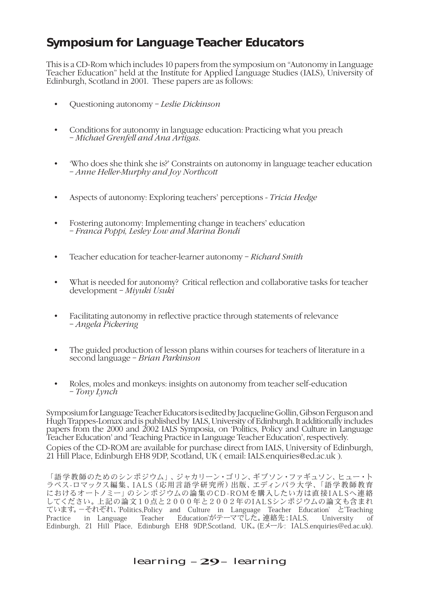# **Symposium for Language Teacher Educators**

This is a CD-Rom which includes 10 papers from the symposium on "Autonomy in Language Teacher Education" held at the Institute for Applied Language Studies (IALS), University of Edinburgh, Scotland in 2001. These papers are as follows:

- Questioning autonomy *Leslie Dickinson*
- Conditions for autonomy in language education: Practicing what you preach – *Michael Grenfell and Ana Artigas*.
- 'Who does she think she is?' Constraints on autonomy in language teacher education – *Anne Heller-Murphy and Joy Northcott*
- Aspects of autonomy: Exploring teachers' perceptions *Tricia Hedge*
- Fostering autonomy: Implementing change in teachers' education – *Franca Poppi, Lesley Low and Marina Bondi*
- Teacher education for teacher-learner autonomy *Richard Smith*
- What is needed for autonomy? Critical reflection and collaborative tasks for teacher development – *Miyuki Usuki*
- Facilitating autonomy in reflective practice through statements of relevance – *Angela Pickering*
- The guided production of lesson plans within courses for teachers of literature in a second language – *Brian Parkinson*
- Roles, moles and monkeys: insights on autonomy from teacher self-education – *Tony Lynch*

Symposium for Language Teacher Educators is edited by Jacqueline Gollin, Gibson Ferguson and Hugh Trappes-Lomax and is published by IALS, University of Edinburgh. It additionally includes papers from the 2000 and 2002 IALS Symposia, on 'Politics, Policy and Culture in Language Teacher Education' and 'Teaching Practice in Language Teacher Education', respectively. Copies of the CD-ROM are available for purchase direct from IALS, University of Edinburgh, 21 Hill Place, Edinburgh EH8 9DP, Scotland, UK ( email: IALS.enquiries@ed.ac.uk ).

「語学 教師のためのシンポジウム」、ジャカリーン・ゴリン、ギブソン・ファギュソン、ヒュー・ト ラペス-ロマックス編集、I A L S( 応用言 語学 研 究 所)出版、エディンバラ大学、「語学 教師教育 におけるオートノミー」のシンポジウムの論 集のC D - R O Mを購入したい方は直接 I A L Sへ連 絡 してください。上記の論文10点と2000年と2002年のIALSシンポジウムの論文も含まれ ています。-それぞれ、'Politics,Policy and Culture in Language Teacher Education' と'Teaching<br>Practice in Language Teacher Education'がテーマでした。連絡先:IALS. University of Teacher Education'がテーマでした。連絡先:IALS, University of Edinburgh, 21 Hill Place, Edinburgh EH8 9DP,Scotland, UK。(Eメール: IALS.enquiries@ed.ac.uk).

## learning –29– learning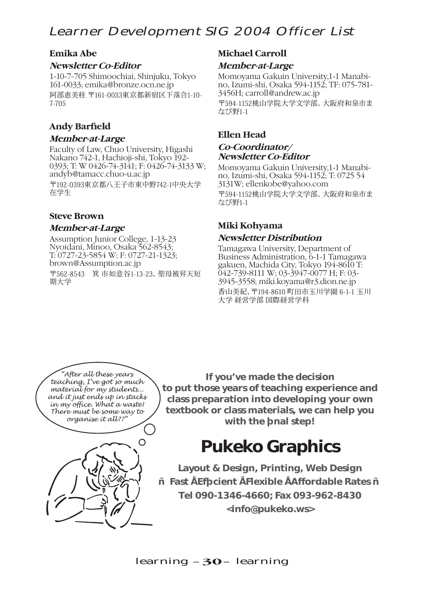# Learner Development SIG 2004 Officer List

# **Emika Abe**

## **Newsletter Co-Editor**

1-10-7-705 Shimoochiai, Shinjuku, Tokyo 161-0033; emika@bronze.ocn.ne.jp 阿部恵美桂 〒161-0033東京都新宿区下落合1-10- 7-705

# **Andy Barfield**

# **Member-at-Large**

Faculty of Law, Chuo University, Higashi Nakano 742-1, Hachioji-shi, Tokyo 192- 0393; T: W 0426-74-3141; F: 0426-74-3133 W; andyb@tamacc.chuo-u.ac.jp 〒192-0393東京都八王子市東中野742-1中央大学

在学生

# **Steve Brown**

# **Member-at-Large**

Assumption Junior College, 1-13-23 Nyoidani, Minoo, Osaka 562-8543; T: 0727-23-5854 W; F: 0727-21-1323; brown@Assumption.ac.jp

〒562-8543 箕 市如意谷1-13-23、聖母被昇天短 期大学

# **Michael Carroll**

# **Member-at-Large**

Momoyama Gakuin University,1-1 Manabino, Izumi-shi, Osaka 594-1152; TF: 075-781- 3456H; carroll@andrew.ac.jp 〒594-1152桃山学院大学文学部、大阪府和泉市ま なび野1-1

# **Ellen Head Co-Coordinator/ Newsletter Co-Editor**

Momoyama Gakuin University,1-1 Manabino, Izumi-shi, Osaka 594-1152; T: 0725 54 3131W; ellenkobe@yahoo.com 〒594-1152桃山学院大学文学部、大阪府和泉市ま なび野1-1

# **Miki Kohyama Newsletter Distribution**

Tamagawa University, Department of Business Administration, 6-1-1 Tamagawa gakuen, Machida City, Tokyo 194-8610 T: 042-739-8111 W; 03-3947-0077 H; F: 03-3945-3558; miki.koyama@r3.dion.ne.jp 香山美紀、〒194-8610 町田市玉川学園 6-1-1 玉川 大学 経営学部 国際経営学科

*"After all these years teaching, I've got so much material for my students... and it just ends up in stacks in my office. What a waste! There must be some way to organise it all??"*



**If you've made the decision to put those years of teaching experience and class preparation into developing your own textbook or class materials, we can help you**  with the f nal step!

# **Pukeko Graphics**

**Layout & Design, Printing, Web Design — Fast • Efficient • Flexible • Affordable Rates — Tel 090-1346-4660; Fax 093-962-8430 <info@pukeko.ws>**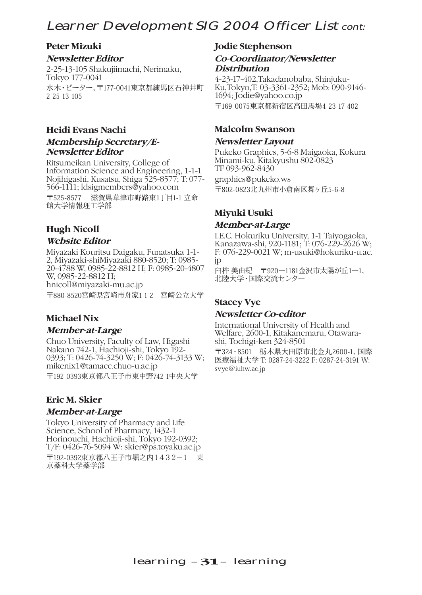# Learner Development SIG 2004 Officer List cont:

# **Peter Mizuki**

## **Newsletter Editor**

2-25-13-105 Shakujiimachi, Nerimaku, Tokyo 177-0041 水木・ピーター、〒177-0041東京都練馬区石神井町 2-25-13-105

# **Heidi Evans Nachi**

# **Membership Secretary/E-Newsletter Editor**

Ritsumeikan University, College of Information Science and Engineering, 1-1-1 Nojihigashi, Kusatsu, Shiga 525-8577; T: 077- 566-1111; ldsigmembers@yahoo.com 〒525-8577 滋賀県草津市野路東1丁目1-1 立命 館大学情報理工学部

# **Hugh Nicoll**

# **Website Editor**

Miyazaki Kouritsu Daigaku, Funatsuka 1-1- 2, Miyazaki-shiMiyazaki 880-8520; T: 0985- 20-4788 W, 0985-22-8812 H; F: 0985-20-4807 W, 0985-22-8812 H; hnicoll@miyazaki-mu.ac.jp 〒880-8520宮崎県宮崎市舟家1-1-2 宮崎公立大学

# **Michael Nix**

## **Member-at-Large**

Chuo University, Faculty of Law, Higashi Nakano 742-1, Hachioji-shi, Tokyo 192- 0393; T: 0426-74-3250 W; F: 0426-74-3133 W; mikenix1@tamacc.chuo-u.ac.jp 〒192-0393東京都八王子市東中野742-1中央大学

# **Eric M. Skier**

## **Member-at-Large**

Tokyo University of Pharmacy and Life Science, School of Pharmacy, 1432-1 Horinouchi, Hachioji-shi, Tokyo 192-0392; T/F: 0426-76-5094 W: skier@ps.toyaku.ac.jp 〒192-0392東京都八王子市堀之内1432−1 東 京薬科大学薬学部

# **Jodie Stephenson**

## **Co-Coordinator/Newsletter Distribution**

4-23-17-402,Takadanobaba, Shinjuku-Ku,Tokyo,T: 03-3361-2352; Mob: 090-9146- 1694; Jodie@yahoo.co.jp 〒169-0075東京都新宿区高田馬場4-23-17-402

# **Malcolm Swanson**

### **Newsletter Layout**

Pukeko Graphics, 5-6-8 Maigaoka, Kokura Minami-ku, Kitakyushu 802-0823 TF 093-962-8430 graphics@pukeko.ws 〒802-0823北九州市小倉南区舞ヶ丘5-6-8

# **Miyuki Usuki**

## **Member-at-Large**

I.E.C. Hokuriku University, 1-1 Taiyogaoka, Kanazawa-shi, 920-1181; T: 076-229-2626 W; F: 076-229-0021 W; m-usuki@hokuriku-u.ac. jp

臼杵 美由紀 〒920ー1181金沢市太陽が丘1ー1、 北陸大学・国際交流センター

# **Stacey Vye**

## **Newsletter Co-editor**

International University of Health and Welfare, 2600-1, Kitakanemaru, Otawarashi, Tochigi-ken 324-8501

〒324‐8501 栃木県大田原市北金丸2600-1、国際 医療福祉大学 T: 0287-24-3222 F: 0287-24-3191 W: svye@iuhw.ac.jp